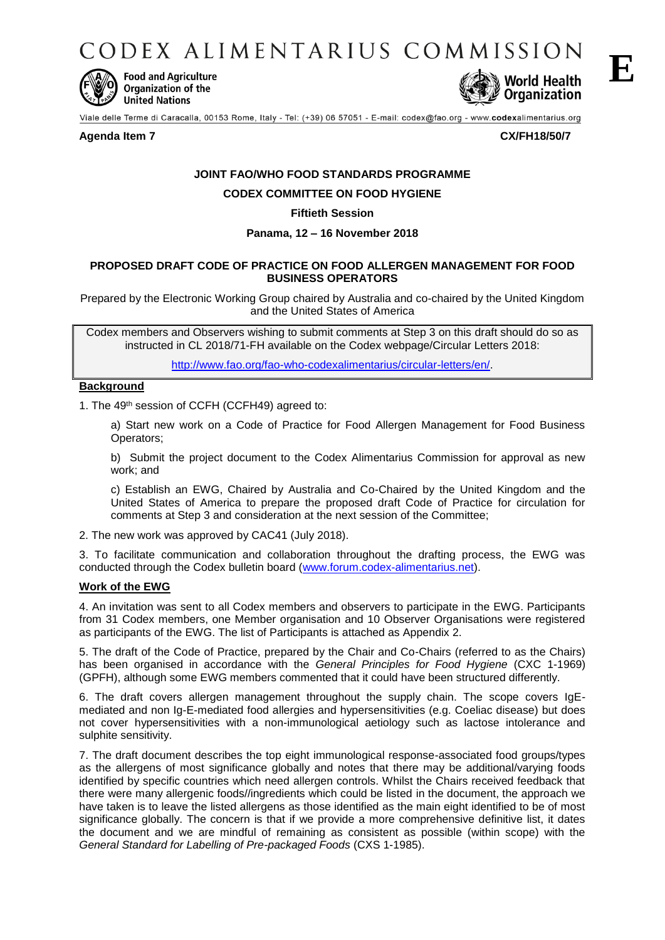CODEX ALIMENTARIUS COMMISSION



**Food and Agriculture** Organization of the **United Nations** 



Viale delle Terme di Caracalla, 00153 Rome, Italy - Tel: (+39) 06 57051 - E-mail: codex@fao.org - www.codexalimentarius.org

## **Agenda Item 7 CX/FH18/50/7**

# **JOINT FAO/WHO FOOD STANDARDS PROGRAMME**

**CODEX COMMITTEE ON FOOD HYGIENE**

# **Fiftieth Session**

# **Panama, 12 – 16 November 2018**

# **PROPOSED DRAFT CODE OF PRACTICE ON FOOD ALLERGEN MANAGEMENT FOR FOOD BUSINESS OPERATORS**

Prepared by the Electronic Working Group chaired by Australia and co-chaired by the United Kingdom and the United States of America

Codex members and Observers wishing to submit comments at Step 3 on this draft should do so as instructed in CL 2018/71-FH available on the Codex webpage/Circular Letters 2018:

[http://www.fao.org/fao-who-codexalimentarius/circular-letters/en/.](http://www.fao.org/fao-who-codexalimentarius/circular-letters/en/)

# **Background**

1. The 49th session of CCFH (CCFH49) agreed to:

a) Start new work on a Code of Practice for Food Allergen Management for Food Business Operators;

b) Submit the project document to the Codex Alimentarius Commission for approval as new work; and

c) Establish an EWG, Chaired by Australia and Co-Chaired by the United Kingdom and the United States of America to prepare the proposed draft Code of Practice for circulation for comments at Step 3 and consideration at the next session of the Committee;

2. The new work was approved by CAC41 (July 2018).

3. To facilitate communication and collaboration throughout the drafting process, the EWG was conducted through the Codex bulletin board [\(www.forum.codex-alimentarius.net\)](http://www.forum.codex-alimentarius.net/).

# **Work of the EWG**

4. An invitation was sent to all Codex members and observers to participate in the EWG. Participants from 31 Codex members, one Member organisation and 10 Observer Organisations were registered as participants of the EWG. The list of Participants is attached as Appendix 2.

5. The draft of the Code of Practice, prepared by the Chair and Co-Chairs (referred to as the Chairs) has been organised in accordance with the *General Principles for Food Hygiene* (CXC 1-1969) (GPFH), although some EWG members commented that it could have been structured differently.

6. The draft covers allergen management throughout the supply chain. The scope covers IgEmediated and non Ig-E-mediated food allergies and hypersensitivities (e.g. Coeliac disease) but does not cover hypersensitivities with a non-immunological aetiology such as lactose intolerance and sulphite sensitivity.

7. The draft document describes the top eight immunological response-associated food groups/types as the allergens of most significance globally and notes that there may be additional/varying foods identified by specific countries which need allergen controls. Whilst the Chairs received feedback that there were many allergenic foods//ingredients which could be listed in the document, the approach we have taken is to leave the listed allergens as those identified as the main eight identified to be of most significance globally. The concern is that if we provide a more comprehensive definitive list, it dates the document and we are mindful of remaining as consistent as possible (within scope) with the *General Standard for Labelling of Pre-packaged Foods* (CXS 1-1985).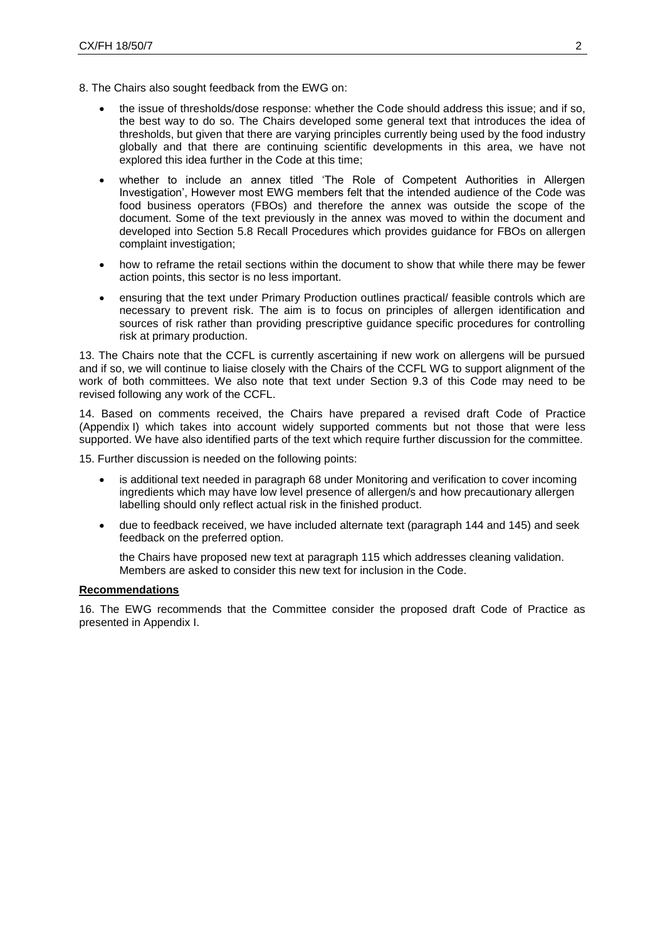- 8. The Chairs also sought feedback from the EWG on:
	- the issue of thresholds/dose response: whether the Code should address this issue; and if so, the best way to do so. The Chairs developed some general text that introduces the idea of thresholds, but given that there are varying principles currently being used by the food industry globally and that there are continuing scientific developments in this area, we have not explored this idea further in the Code at this time;
	- whether to include an annex titled 'The Role of Competent Authorities in Allergen Investigation', However most EWG members felt that the intended audience of the Code was food business operators (FBOs) and therefore the annex was outside the scope of the document. Some of the text previously in the annex was moved to within the document and developed into Section 5.8 Recall Procedures which provides guidance for FBOs on allergen complaint investigation;
	- how to reframe the retail sections within the document to show that while there may be fewer action points, this sector is no less important.
	- ensuring that the text under Primary Production outlines practical/ feasible controls which are necessary to prevent risk. The aim is to focus on principles of allergen identification and sources of risk rather than providing prescriptive guidance specific procedures for controlling risk at primary production.

13. The Chairs note that the CCFL is currently ascertaining if new work on allergens will be pursued and if so, we will continue to liaise closely with the Chairs of the CCFL WG to support alignment of the work of both committees. We also note that text under Section 9.3 of this Code may need to be revised following any work of the CCFL.

14. Based on comments received, the Chairs have prepared a revised draft Code of Practice (Appendix I) which takes into account widely supported comments but not those that were less supported. We have also identified parts of the text which require further discussion for the committee.

15. Further discussion is needed on the following points:

- is additional text needed in paragraph 68 under Monitoring and verification to cover incoming ingredients which may have low level presence of allergen/s and how precautionary allergen labelling should only reflect actual risk in the finished product.
- due to feedback received, we have included alternate text (paragraph 144 and 145) and seek feedback on the preferred option.

the Chairs have proposed new text at paragraph 115 which addresses cleaning validation. Members are asked to consider this new text for inclusion in the Code.

### **Recommendations**

16. The EWG recommends that the Committee consider the proposed draft Code of Practice as presented in Appendix I.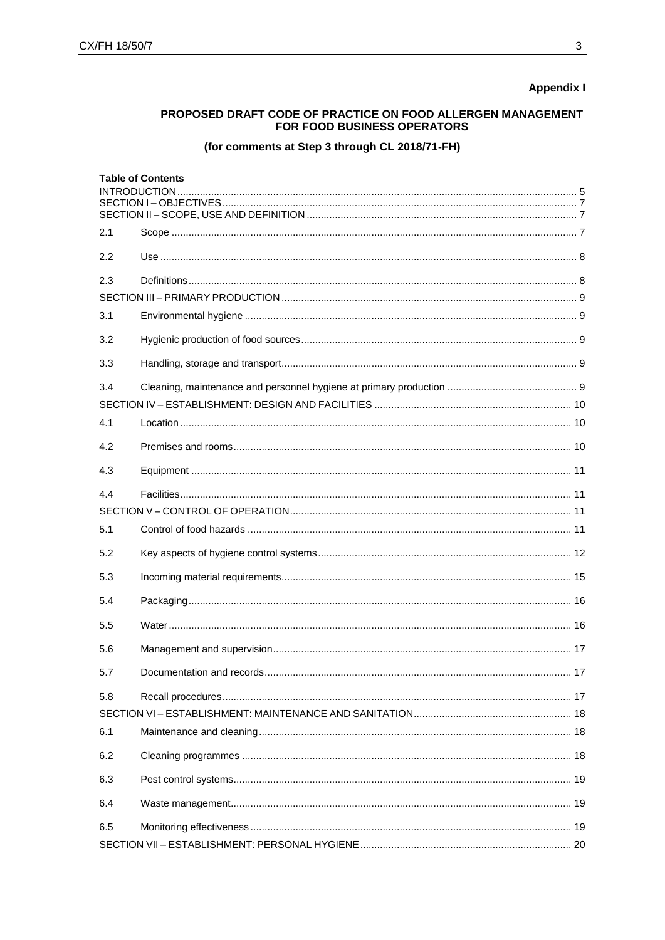# **Appendix I**

# PROPOSED DRAFT CODE OF PRACTICE ON FOOD ALLERGEN MANAGEMENT FOR FOOD BUSINESS OPERATORS

# (for comments at Step 3 through CL 2018/71-FH)

|     | <b>Table of Contents</b><br>INTRODUCTION |  |
|-----|------------------------------------------|--|
|     |                                          |  |
|     |                                          |  |
| 2.1 |                                          |  |
| 2.2 |                                          |  |
| 2.3 |                                          |  |
|     |                                          |  |
| 3.1 |                                          |  |
| 3.2 |                                          |  |
| 3.3 |                                          |  |
| 3.4 |                                          |  |
|     |                                          |  |
| 4.1 |                                          |  |
| 4.2 |                                          |  |
| 4.3 |                                          |  |
| 4.4 |                                          |  |
|     |                                          |  |
| 5.1 |                                          |  |
| 5.2 |                                          |  |
| 5.3 |                                          |  |
| 5.4 |                                          |  |
| 5.5 |                                          |  |
| 5.6 |                                          |  |
| 5.7 |                                          |  |
| 5.8 |                                          |  |
|     |                                          |  |
| 6.1 |                                          |  |
| 6.2 |                                          |  |
| 6.3 |                                          |  |
| 6.4 |                                          |  |
| 6.5 |                                          |  |
|     |                                          |  |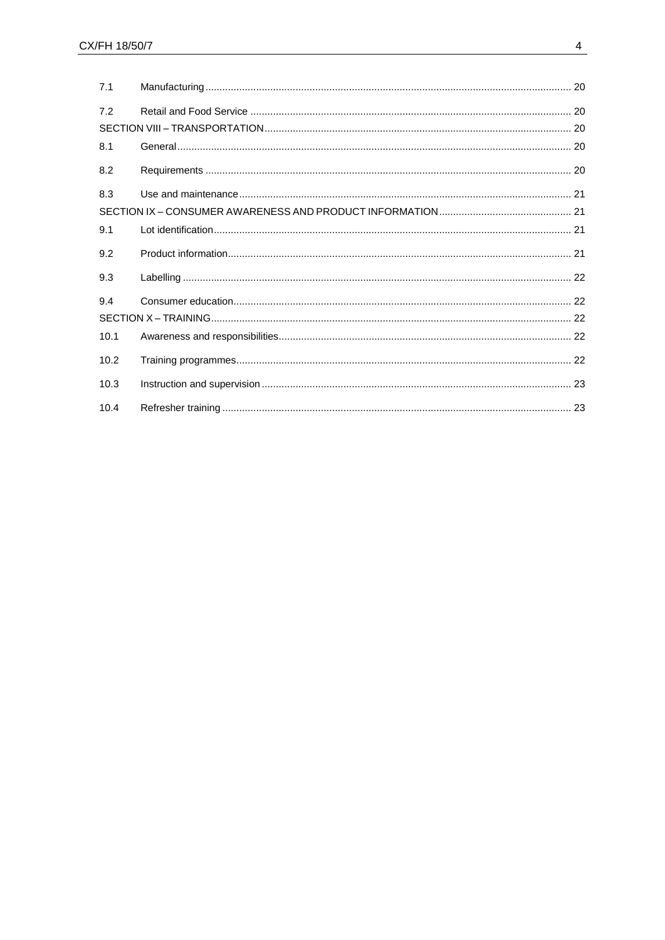| 7.1  |  |  |
|------|--|--|
| 7.2  |  |  |
|      |  |  |
| 8.1  |  |  |
| 8.2  |  |  |
| 8.3  |  |  |
|      |  |  |
| 9.1  |  |  |
| 9.2  |  |  |
| 9.3  |  |  |
| 9.4  |  |  |
|      |  |  |
| 10.1 |  |  |
| 10.2 |  |  |
| 10.3 |  |  |
| 10.4 |  |  |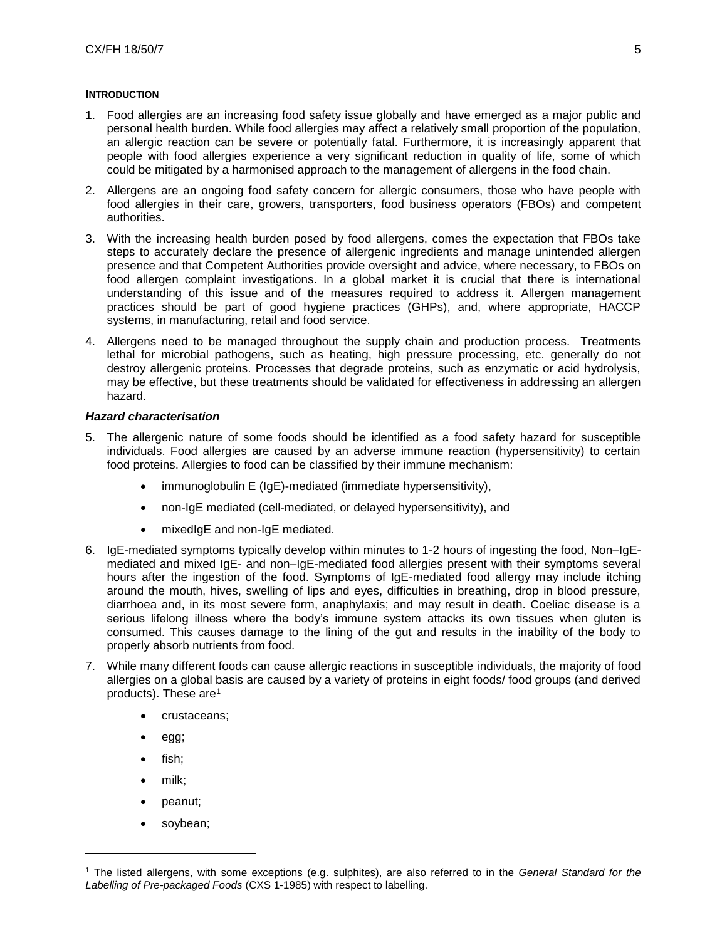#### **INTRODUCTION**

- <span id="page-4-0"></span>1. Food allergies are an increasing food safety issue globally and have emerged as a major public and personal health burden. While food allergies may affect a relatively small proportion of the population, an allergic reaction can be severe or potentially fatal. Furthermore, it is increasingly apparent that people with food allergies experience a very significant reduction in quality of life, some of which could be mitigated by a harmonised approach to the management of allergens in the food chain.
- 2. Allergens are an ongoing food safety concern for allergic consumers, those who have people with food allergies in their care, growers, transporters, food business operators (FBOs) and competent authorities.
- 3. With the increasing health burden posed by food allergens, comes the expectation that FBOs take steps to accurately declare the presence of allergenic ingredients and manage unintended allergen presence and that Competent Authorities provide oversight and advice, where necessary, to FBOs on food allergen complaint investigations. In a global market it is crucial that there is international understanding of this issue and of the measures required to address it. Allergen management practices should be part of good hygiene practices (GHPs), and, where appropriate, HACCP systems, in manufacturing, retail and food service.
- 4. Allergens need to be managed throughout the supply chain and production process. Treatments lethal for microbial pathogens, such as heating, high pressure processing, etc. generally do not destroy allergenic proteins. Processes that degrade proteins, such as enzymatic or acid hydrolysis, may be effective, but these treatments should be validated for effectiveness in addressing an allergen hazard.

### *Hazard characterisation*

- 5. The allergenic nature of some foods should be identified as a food safety hazard for susceptible individuals. Food allergies are caused by an adverse immune reaction (hypersensitivity) to certain food proteins. Allergies to food can be classified by their immune mechanism:
	- immunoglobulin E (IgE)-mediated (immediate hypersensitivity),
	- non-IgE mediated (cell-mediated, or delayed hypersensitivity), and
	- mixedIgE and non-IgE mediated.
- 6. IgE-mediated symptoms typically develop within minutes to 1-2 hours of ingesting the food, Non–IgEmediated and mixed IgE- and non–IgE-mediated food allergies present with their symptoms several hours after the ingestion of the food. Symptoms of IgE-mediated food allergy may include itching around the mouth, hives, swelling of lips and eyes, difficulties in breathing, drop in blood pressure, diarrhoea and, in its most severe form, anaphylaxis; and may result in death. Coeliac disease is a serious lifelong illness where the body's immune system attacks its own tissues when gluten is consumed. This causes damage to the lining of the gut and results in the inability of the body to properly absorb nutrients from food.
- 7. While many different foods can cause allergic reactions in susceptible individuals, the majority of food allergies on a global basis are caused by a variety of proteins in eight foods/ food groups (and derived products). These are<sup>1</sup>
	- crustaceans;
	- egg;
	- fish;
	- milk;

l

- peanut;
- soybean;

<sup>1</sup> The listed allergens, with some exceptions (e.g. sulphites), are also referred to in the *General Standard for the Labelling of Pre-packaged Foods* (CXS 1-1985) with respect to labelling.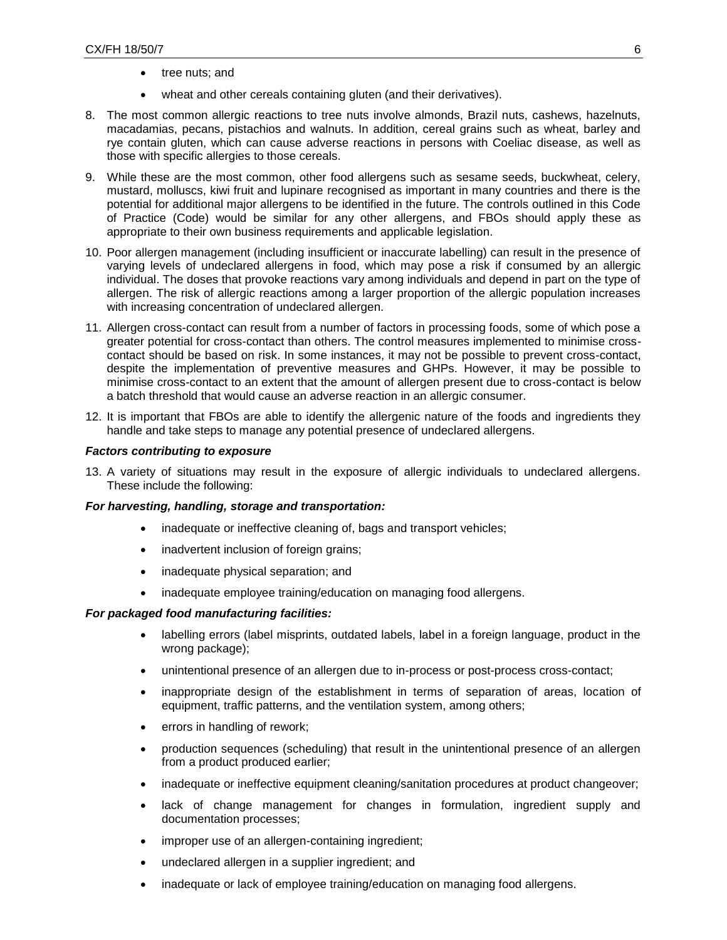- tree nuts; and
- wheat and other cereals containing gluten (and their derivatives).
- 8. The most common allergic reactions to tree nuts involve almonds, Brazil nuts, cashews, hazelnuts, macadamias, pecans, pistachios and walnuts. In addition, cereal grains such as wheat, barley and rye contain gluten, which can cause adverse reactions in persons with Coeliac disease, as well as those with specific allergies to those cereals.
- 9. While these are the most common, other food allergens such as sesame seeds, buckwheat, celery, mustard, molluscs, kiwi fruit and lupinare recognised as important in many countries and there is the potential for additional major allergens to be identified in the future. The controls outlined in this Code of Practice (Code) would be similar for any other allergens, and FBOs should apply these as appropriate to their own business requirements and applicable legislation.
- 10. Poor allergen management (including insufficient or inaccurate labelling) can result in the presence of varying levels of undeclared allergens in food, which may pose a risk if consumed by an allergic individual. The doses that provoke reactions vary among individuals and depend in part on the type of allergen. The risk of allergic reactions among a larger proportion of the allergic population increases with increasing concentration of undeclared allergen.
- 11. Allergen cross-contact can result from a number of factors in processing foods, some of which pose a greater potential for cross-contact than others. The control measures implemented to minimise crosscontact should be based on risk. In some instances, it may not be possible to prevent cross-contact, despite the implementation of preventive measures and GHPs. However, it may be possible to minimise cross-contact to an extent that the amount of allergen present due to cross-contact is below a batch threshold that would cause an adverse reaction in an allergic consumer.
- 12. It is important that FBOs are able to identify the allergenic nature of the foods and ingredients they handle and take steps to manage any potential presence of undeclared allergens.

### *Factors contributing to exposure*

13. A variety of situations may result in the exposure of allergic individuals to undeclared allergens. These include the following:

### *For harvesting, handling, storage and transportation:*

- inadequate or ineffective cleaning of, bags and transport vehicles;
- inadvertent inclusion of foreign grains;
- inadequate physical separation; and
- inadequate employee training/education on managing food allergens.

### *For packaged food manufacturing facilities:*

- labelling errors (label misprints, outdated labels, label in a foreign language, product in the wrong package);
- unintentional presence of an allergen due to in-process or post-process cross-contact;
- inappropriate design of the establishment in terms of separation of areas, location of equipment, traffic patterns, and the ventilation system, among others;
- errors in handling of rework;
- production sequences (scheduling) that result in the unintentional presence of an allergen from a product produced earlier;
- inadequate or ineffective equipment cleaning/sanitation procedures at product changeover;
- lack of change management for changes in formulation, ingredient supply and documentation processes;
- improper use of an allergen-containing ingredient;
- undeclared allergen in a supplier ingredient; and
- inadequate or lack of employee training/education on managing food allergens.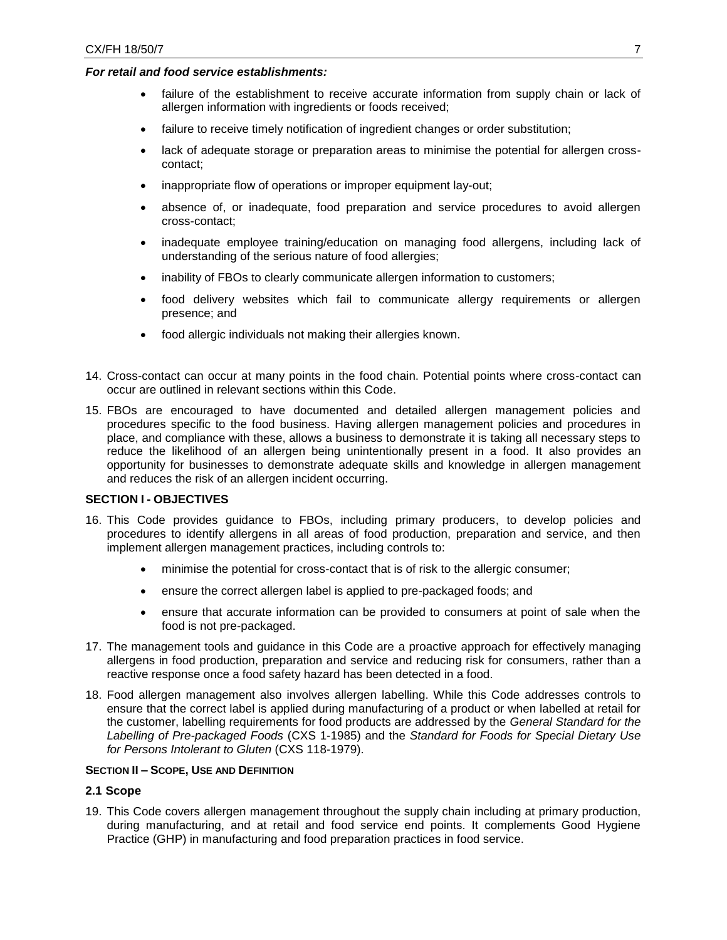### *For retail and food service establishments:*

- failure of the establishment to receive accurate information from supply chain or lack of allergen information with ingredients or foods received;
- failure to receive timely notification of ingredient changes or order substitution;
- lack of adequate storage or preparation areas to minimise the potential for allergen crosscontact;
- inappropriate flow of operations or improper equipment lay-out;
- absence of, or inadequate, food preparation and service procedures to avoid allergen cross-contact;
- inadequate employee training/education on managing food allergens, including lack of understanding of the serious nature of food allergies;
- inability of FBOs to clearly communicate allergen information to customers;
- food delivery websites which fail to communicate allergy requirements or allergen presence; and
- food allergic individuals not making their allergies known.
- 14. Cross-contact can occur at many points in the food chain. Potential points where cross-contact can occur are outlined in relevant sections within this Code.
- 15. FBOs are encouraged to have documented and detailed allergen management policies and procedures specific to the food business. Having allergen management policies and procedures in place, and compliance with these, allows a business to demonstrate it is taking all necessary steps to reduce the likelihood of an allergen being unintentionally present in a food. It also provides an opportunity for businesses to demonstrate adequate skills and knowledge in allergen management and reduces the risk of an allergen incident occurring.

### **SECTION I - OBJECTIVES**

- <span id="page-6-0"></span>16. This Code provides guidance to FBOs, including primary producers, to develop policies and procedures to identify allergens in all areas of food production, preparation and service, and then implement allergen management practices, including controls to:
	- minimise the potential for cross-contact that is of risk to the allergic consumer;
	- ensure the correct allergen label is applied to pre-packaged foods; and
	- ensure that accurate information can be provided to consumers at point of sale when the food is not pre-packaged.
- 17. The management tools and guidance in this Code are a proactive approach for effectively managing allergens in food production, preparation and service and reducing risk for consumers, rather than a reactive response once a food safety hazard has been detected in a food.
- 18. Food allergen management also involves allergen labelling. While this Code addresses controls to ensure that the correct label is applied during manufacturing of a product or when labelled at retail for the customer, labelling requirements for food products are addressed by the *General Standard for the Labelling of Pre-packaged Foods* (CXS 1-1985) and the *Standard for Foods for Special Dietary Use for Persons Intolerant to Gluten* (CXS 118-1979).

### **SECTION II – SCOPE, USE AND DEFINITION**

## **2.1 Scope**

<span id="page-6-2"></span><span id="page-6-1"></span>19. This Code covers allergen management throughout the supply chain including at primary production, during manufacturing, and at retail and food service end points. It complements Good Hygiene Practice (GHP) in manufacturing and food preparation practices in food service.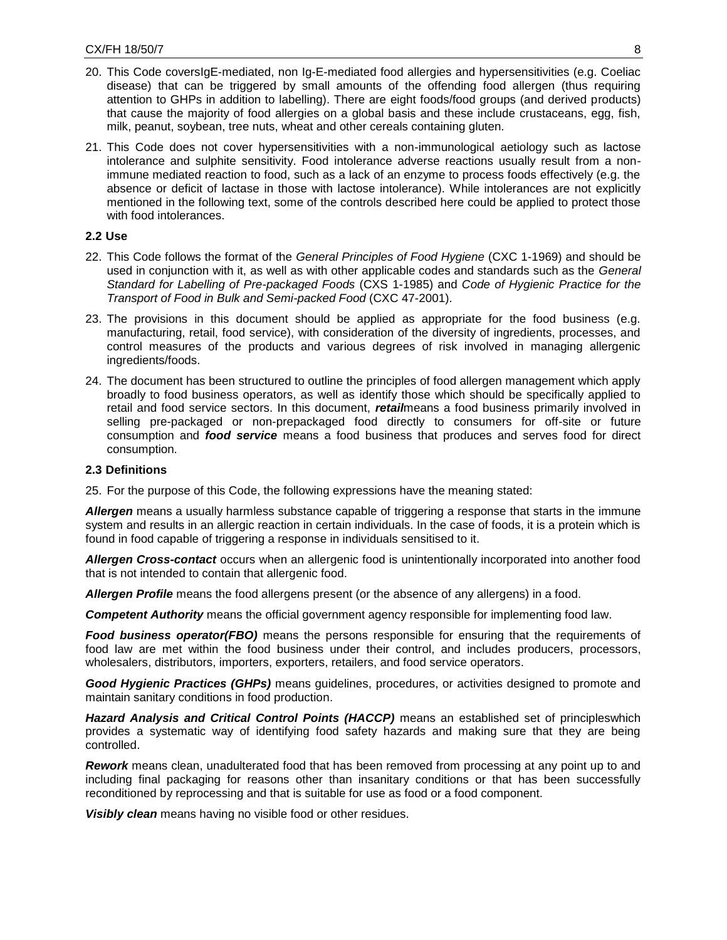- 20. This Code coversIgE-mediated, non Ig-E-mediated food allergies and hypersensitivities (e.g. Coeliac disease) that can be triggered by small amounts of the offending food allergen (thus requiring attention to GHPs in addition to labelling). There are eight foods/food groups (and derived products) that cause the majority of food allergies on a global basis and these include crustaceans, egg, fish, milk, peanut, soybean, tree nuts, wheat and other cereals containing gluten.
- 21. This Code does not cover hypersensitivities with a non-immunological aetiology such as lactose intolerance and sulphite sensitivity. Food intolerance adverse reactions usually result from a nonimmune mediated reaction to food, such as a lack of an enzyme to process foods effectively (e.g. the absence or deficit of lactase in those with lactose intolerance). While intolerances are not explicitly mentioned in the following text, some of the controls described here could be applied to protect those with food intolerances.

### **2.2 Use**

- 22. This Code follows the format of the *General Principles of Food Hygiene* (CXC 1-1969) and should be used in conjunction with it, as well as with other applicable codes and standards such as the *General Standard for Labelling of Pre-packaged Foods* (CXS 1-1985) and *Code of Hygienic Practice for the Transport of Food in Bulk and Semi-packed Food* (CXC 47-2001).
- <span id="page-7-0"></span>23. The provisions in this document should be applied as appropriate for the food business (e.g. manufacturing, retail, food service), with consideration of the diversity of ingredients, processes, and control measures of the products and various degrees of risk involved in managing allergenic ingredients/foods.
- 24. The document has been structured to outline the principles of food allergen management which apply broadly to food business operators, as well as identify those which should be specifically applied to retail and food service sectors. In this document, *retail*means a food business primarily involved in selling pre-packaged or non-prepackaged food directly to consumers for off-site or future consumption and *food service* means a food business that produces and serves food for direct consumption.

### **2.3 Definitions**

25. For the purpose of this Code, the following expressions have the meaning stated:

<span id="page-7-1"></span>Allergen means a usually harmless substance capable of triggering a response that starts in the immune system and results in an allergic reaction in certain individuals. In the case of foods, it is a protein which is found in food capable of triggering a response in individuals sensitised to it.

*Allergen Cross-contact* occurs when an allergenic food is unintentionally incorporated into another food that is not intended to contain that allergenic food.

*Allergen Profile* means the food allergens present (or the absence of any allergens) in a food.

*Competent Authority* means the official government agency responsible for implementing food law.

*Food business operator(FBO)* means the persons responsible for ensuring that the requirements of food law are met within the food business under their control, and includes producers, processors, wholesalers, distributors, importers, exporters, retailers, and food service operators.

*Good Hygienic Practices (GHPs)* means guidelines, procedures, or activities designed to promote and maintain sanitary conditions in food production.

*Hazard Analysis and Critical Control Points (HACCP)* means an established set of principleswhich provides a systematic way of identifying food safety hazards and making sure that they are being controlled.

*Rework* means clean, unadulterated food that has been removed from processing at any point up to and including final packaging for reasons other than insanitary conditions or that has been successfully reconditioned by reprocessing and that is suitable for use as food or a food component.

<span id="page-7-2"></span>*Visibly clean* means having no visible food or other residues.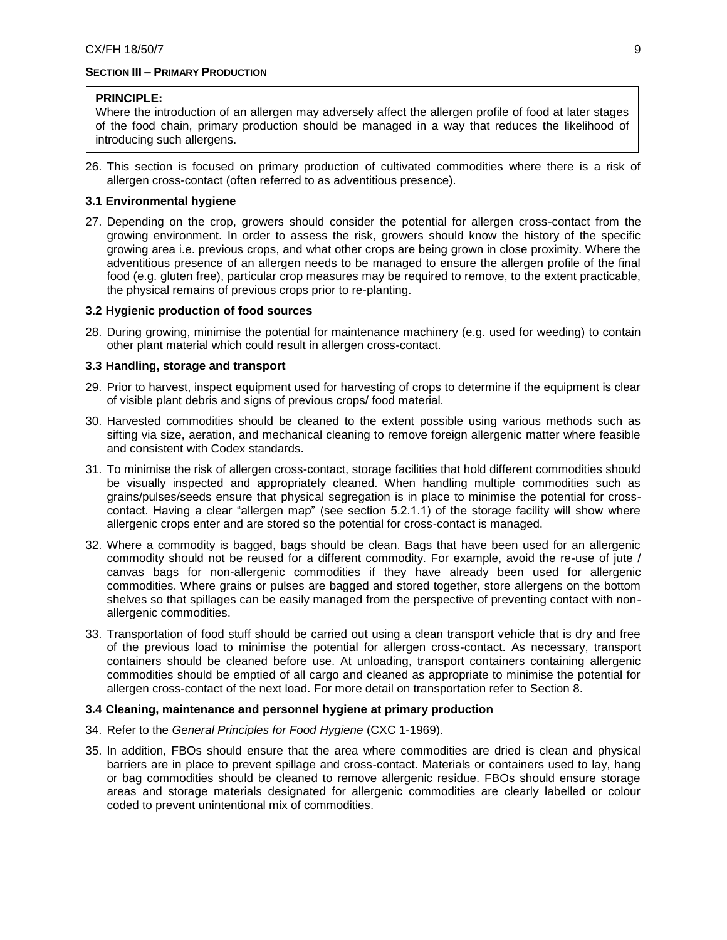## **SECTION III – PRIMARY PRODUCTION**

### **PRINCIPLE:**

Where the introduction of an allergen may adversely affect the allergen profile of food at later stages of the food chain, primary production should be managed in a way that reduces the likelihood of introducing such allergens.

26. This section is focused on primary production of cultivated commodities where there is a risk of allergen cross-contact (often referred to as adventitious presence).

## **3.1 Environmental hygiene**

<span id="page-8-0"></span>27. Depending on the crop, growers should consider the potential for allergen cross-contact from the growing environment. In order to assess the risk, growers should know the history of the specific growing area i.e. previous crops, and what other crops are being grown in close proximity. Where the adventitious presence of an allergen needs to be managed to ensure the allergen profile of the final food (e.g. gluten free), particular crop measures may be required to remove, to the extent practicable, the physical remains of previous crops prior to re-planting.

### **3.2 Hygienic production of food sources**

28. During growing, minimise the potential for maintenance machinery (e.g. used for weeding) to contain other plant material which could result in allergen cross-contact.

### <span id="page-8-1"></span>**3.3 Handling, storage and transport**

- 29. Prior to harvest, inspect equipment used for harvesting of crops to determine if the equipment is clear of visible plant debris and signs of previous crops/ food material.
- <span id="page-8-2"></span>30. Harvested commodities should be cleaned to the extent possible using various methods such as sifting via size, aeration, and mechanical cleaning to remove foreign allergenic matter where feasible and consistent with Codex standards.
- 31. To minimise the risk of allergen cross-contact, storage facilities that hold different commodities should be visually inspected and appropriately cleaned. When handling multiple commodities such as grains/pulses/seeds ensure that physical segregation is in place to minimise the potential for crosscontact. Having a clear "allergen map" (see section 5.2.1.1) of the storage facility will show where allergenic crops enter and are stored so the potential for cross-contact is managed.
- 32. Where a commodity is bagged, bags should be clean. Bags that have been used for an allergenic commodity should not be reused for a different commodity. For example, avoid the re-use of jute / canvas bags for non-allergenic commodities if they have already been used for allergenic commodities. Where grains or pulses are bagged and stored together, store allergens on the bottom shelves so that spillages can be easily managed from the perspective of preventing contact with nonallergenic commodities.
- 33. Transportation of food stuff should be carried out using a clean transport vehicle that is dry and free of the previous load to minimise the potential for allergen cross-contact. As necessary, transport containers should be cleaned before use. At unloading, transport containers containing allergenic commodities should be emptied of all cargo and cleaned as appropriate to minimise the potential for allergen cross-contact of the next load. For more detail on transportation refer to Section 8.

### **3.4 Cleaning, maintenance and personnel hygiene at primary production**

- 34. Refer to the *General Principles for Food Hygiene* (CXC 1-1969).
- <span id="page-8-3"></span>35. In addition, FBOs should ensure that the area where commodities are dried is clean and physical barriers are in place to prevent spillage and cross-contact. Materials or containers used to lay, hang or bag commodities should be cleaned to remove allergenic residue. FBOs should ensure storage areas and storage materials designated for allergenic commodities are clearly labelled or colour coded to prevent unintentional mix of commodities.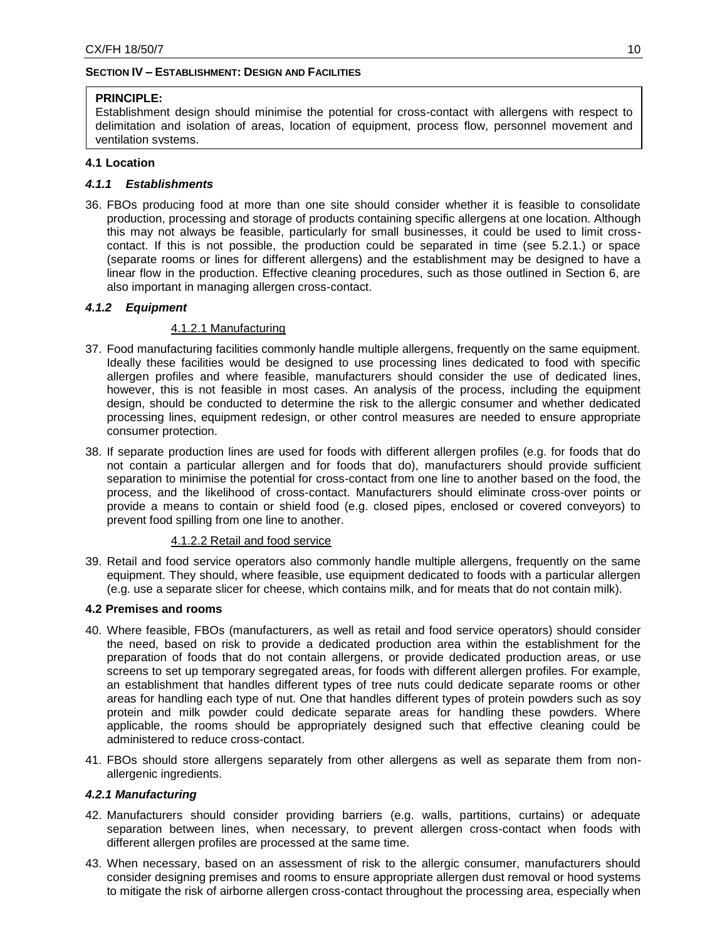# **SECTION IV – ESTABLISHMENT: DESIGN AND FACILITIES**

# **PRINCIPLE:**

<span id="page-9-0"></span>Establishment design should minimise the potential for cross-contact with allergens with respect to delimitation and isolation of areas, location of equipment, process flow, personnel movement and ventilation systems.

# **4.1 Location**

# *4.1.1 Establishments*

<span id="page-9-1"></span>36. FBOs producing food at more than one site should consider whether it is feasible to consolidate production, processing and storage of products containing specific allergens at one location. Although this may not always be feasible, particularly for small businesses, it could be used to limit crosscontact. If this is not possible, the production could be separated in time (see 5.2.1.) or space (separate rooms or lines for different allergens) and the establishment may be designed to have a linear flow in the production. Effective cleaning procedures, such as those outlined in Section 6, are also important in managing allergen cross-contact.

# *4.1.2 Equipment*

# 4.1.2.1 Manufacturing

- 37. Food manufacturing facilities commonly handle multiple allergens, frequently on the same equipment. Ideally these facilities would be designed to use processing lines dedicated to food with specific allergen profiles and where feasible, manufacturers should consider the use of dedicated lines, however, this is not feasible in most cases. An analysis of the process, including the equipment design, should be conducted to determine the risk to the allergic consumer and whether dedicated processing lines, equipment redesign, or other control measures are needed to ensure appropriate consumer protection.
- 38. If separate production lines are used for foods with different allergen profiles (e.g. for foods that do not contain a particular allergen and for foods that do), manufacturers should provide sufficient separation to minimise the potential for cross-contact from one line to another based on the food, the process, and the likelihood of cross-contact. Manufacturers should eliminate cross-over points or provide a means to contain or shield food (e.g. closed pipes, enclosed or covered conveyors) to prevent food spilling from one line to another.

## 4.1.2.2 Retail and food service

39. Retail and food service operators also commonly handle multiple allergens, frequently on the same equipment. They should, where feasible, use equipment dedicated to foods with a particular allergen (e.g. use a separate slicer for cheese, which contains milk, and for meats that do not contain milk).

## **4.2 Premises and rooms**

- <span id="page-9-2"></span>40. Where feasible, FBOs (manufacturers, as well as retail and food service operators) should consider the need, based on risk to provide a dedicated production area within the establishment for the preparation of foods that do not contain allergens, or provide dedicated production areas, or use screens to set up temporary segregated areas, for foods with different allergen profiles. For example, an establishment that handles different types of tree nuts could dedicate separate rooms or other areas for handling each type of nut. One that handles different types of protein powders such as soy protein and milk powder could dedicate separate areas for handling these powders. Where applicable, the rooms should be appropriately designed such that effective cleaning could be administered to reduce cross-contact.
- 41. FBOs should store allergens separately from other allergens as well as separate them from nonallergenic ingredients.

## *4.2.1 Manufacturing*

- 42. Manufacturers should consider providing barriers (e.g. walls, partitions, curtains) or adequate separation between lines, when necessary, to prevent allergen cross-contact when foods with different allergen profiles are processed at the same time.
- 43. When necessary, based on an assessment of risk to the allergic consumer, manufacturers should consider designing premises and rooms to ensure appropriate allergen dust removal or hood systems to mitigate the risk of airborne allergen cross-contact throughout the processing area, especially when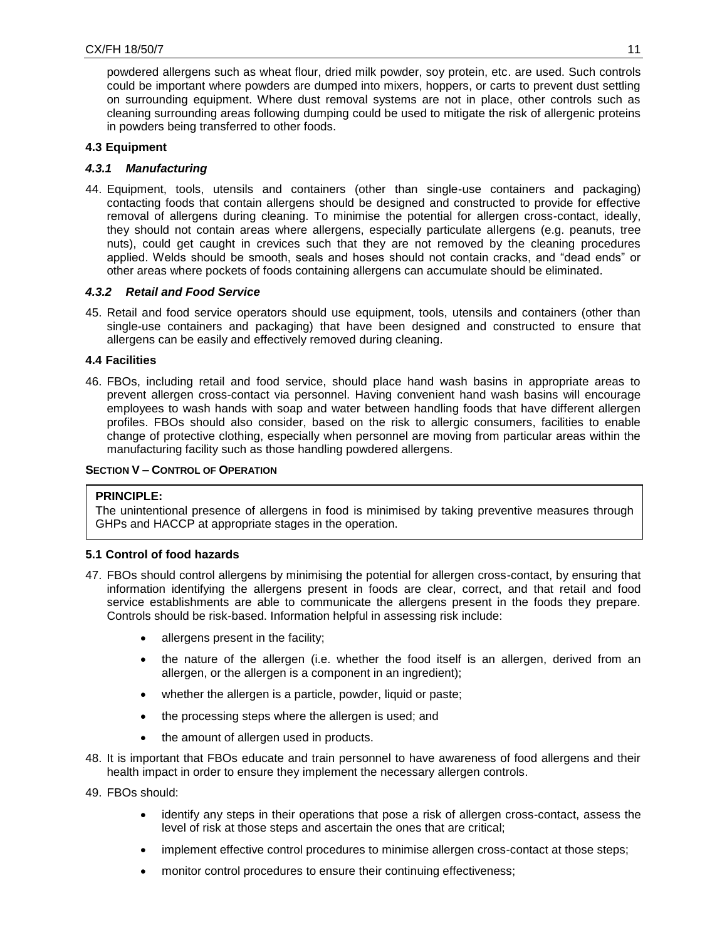powdered allergens such as wheat flour, dried milk powder, soy protein, etc. are used. Such controls could be important where powders are dumped into mixers, hoppers, or carts to prevent dust settling on surrounding equipment. Where dust removal systems are not in place, other controls such as cleaning surrounding areas following dumping could be used to mitigate the risk of allergenic proteins in powders being transferred to other foods.

# **4.3 Equipment**

# *4.3.1 Manufacturing*

<span id="page-10-0"></span>44. Equipment, tools, utensils and containers (other than single-use containers and packaging) contacting foods that contain allergens should be designed and constructed to provide for effective removal of allergens during cleaning. To minimise the potential for allergen cross-contact, ideally, they should not contain areas where allergens, especially particulate allergens (e.g. peanuts, tree nuts), could get caught in crevices such that they are not removed by the cleaning procedures applied. Welds should be smooth, seals and hoses should not contain cracks, and "dead ends" or other areas where pockets of foods containing allergens can accumulate should be eliminated.

# *4.3.2 Retail and Food Service*

45. Retail and food service operators should use equipment, tools, utensils and containers (other than single-use containers and packaging) that have been designed and constructed to ensure that allergens can be easily and effectively removed during cleaning.

# **4.4 Facilities**

<span id="page-10-1"></span>46. FBOs, including retail and food service, should place hand wash basins in appropriate areas to prevent allergen cross-contact via personnel. Having convenient hand wash basins will encourage employees to wash hands with soap and water between handling foods that have different allergen profiles. FBOs should also consider, based on the risk to allergic consumers, facilities to enable change of protective clothing, especially when personnel are moving from particular areas within the manufacturing facility such as those handling powdered allergens.

# **SECTION V – CONTROL OF OPERATION**

## **PRINCIPLE:**

<span id="page-10-2"></span>The unintentional presence of allergens in food is minimised by taking preventive measures through GHPs and HACCP at appropriate stages in the operation.

## **5.1 Control of food hazards**

- <span id="page-10-3"></span>47. FBOs should control allergens by minimising the potential for allergen cross-contact, by ensuring that information identifying the allergens present in foods are clear, correct, and that retail and food service establishments are able to communicate the allergens present in the foods they prepare. Controls should be risk-based. Information helpful in assessing risk include:
	- allergens present in the facility;
	- the nature of the allergen (i.e. whether the food itself is an allergen, derived from an allergen, or the allergen is a component in an ingredient);
	- whether the allergen is a particle, powder, liquid or paste;
	- the processing steps where the allergen is used; and
	- the amount of allergen used in products.
- 48. It is important that FBOs educate and train personnel to have awareness of food allergens and their health impact in order to ensure they implement the necessary allergen controls.
- 49. FBOs should:
	- identify any steps in their operations that pose a risk of allergen cross-contact, assess the level of risk at those steps and ascertain the ones that are critical;
	- implement effective control procedures to minimise allergen cross-contact at those steps;
	- monitor control procedures to ensure their continuing effectiveness;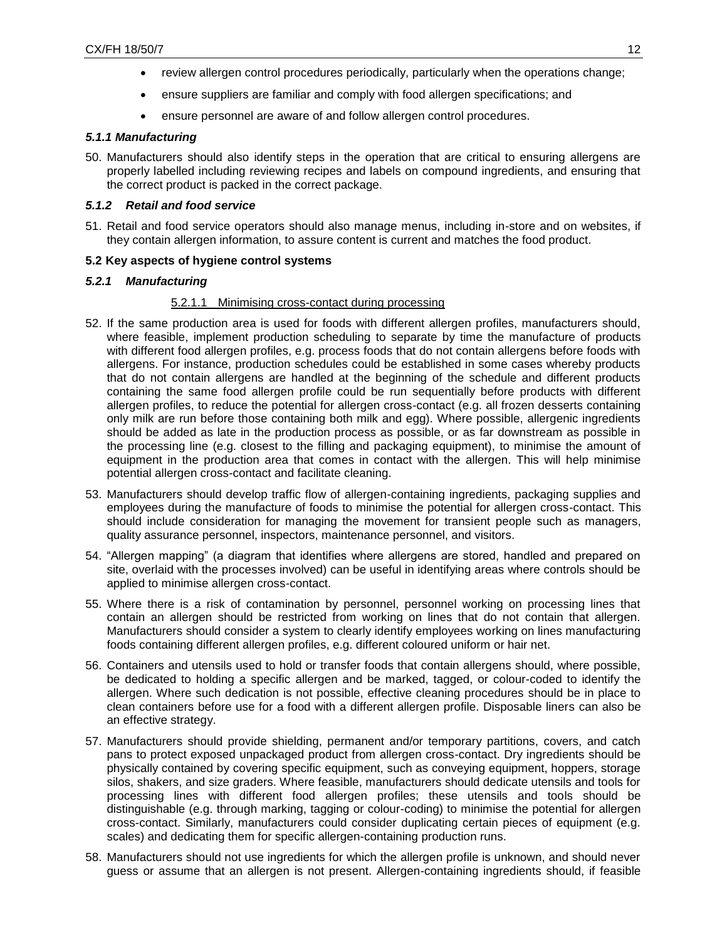- review allergen control procedures periodically, particularly when the operations change;
- ensure suppliers are familiar and comply with food allergen specifications; and
- ensure personnel are aware of and follow allergen control procedures.

# *5.1.1 Manufacturing*

50. Manufacturers should also identify steps in the operation that are critical to ensuring allergens are properly labelled including reviewing recipes and labels on compound ingredients, and ensuring that the correct product is packed in the correct package.

# *5.1.2 Retail and food service*

51. Retail and food service operators should also manage menus, including in-store and on websites, if they contain allergen information, to assure content is current and matches the food product.

# **5.2 Key aspects of hygiene control systems**

# *5.2.1 Manufacturing*

## 5.2.1.1 Minimising cross-contact during processing

- <span id="page-11-0"></span>52. If the same production area is used for foods with different allergen profiles, manufacturers should, where feasible, implement production scheduling to separate by time the manufacture of products with different food allergen profiles, e.g. process foods that do not contain allergens before foods with allergens. For instance, production schedules could be established in some cases whereby products that do not contain allergens are handled at the beginning of the schedule and different products containing the same food allergen profile could be run sequentially before products with different allergen profiles, to reduce the potential for allergen cross-contact (e.g. all frozen desserts containing only milk are run before those containing both milk and egg). Where possible, allergenic ingredients should be added as late in the production process as possible, or as far downstream as possible in the processing line (e.g. closest to the filling and packaging equipment), to minimise the amount of equipment in the production area that comes in contact with the allergen. This will help minimise potential allergen cross-contact and facilitate cleaning.
- 53. Manufacturers should develop traffic flow of allergen-containing ingredients, packaging supplies and employees during the manufacture of foods to minimise the potential for allergen cross-contact. This should include consideration for managing the movement for transient people such as managers, quality assurance personnel, inspectors, maintenance personnel, and visitors.
- 54. "Allergen mapping" (a diagram that identifies where allergens are stored, handled and prepared on site, overlaid with the processes involved) can be useful in identifying areas where controls should be applied to minimise allergen cross-contact.
- 55. Where there is a risk of contamination by personnel, personnel working on processing lines that contain an allergen should be restricted from working on lines that do not contain that allergen. Manufacturers should consider a system to clearly identify employees working on lines manufacturing foods containing different allergen profiles, e.g. different coloured uniform or hair net.
- 56. Containers and utensils used to hold or transfer foods that contain allergens should, where possible, be dedicated to holding a specific allergen and be marked, tagged, or colour-coded to identify the allergen. Where such dedication is not possible, effective cleaning procedures should be in place to clean containers before use for a food with a different allergen profile. Disposable liners can also be an effective strategy.
- 57. Manufacturers should provide shielding, permanent and/or temporary partitions, covers, and catch pans to protect exposed unpackaged product from allergen cross-contact. Dry ingredients should be physically contained by covering specific equipment, such as conveying equipment, hoppers, storage silos, shakers, and size graders. Where feasible, manufacturers should dedicate utensils and tools for processing lines with different food allergen profiles; these utensils and tools should be distinguishable (e.g. through marking, tagging or colour-coding) to minimise the potential for allergen cross-contact. Similarly, manufacturers could consider duplicating certain pieces of equipment (e.g. scales) and dedicating them for specific allergen-containing production runs.
- 58. Manufacturers should not use ingredients for which the allergen profile is unknown, and should never guess or assume that an allergen is not present. Allergen-containing ingredients should, if feasible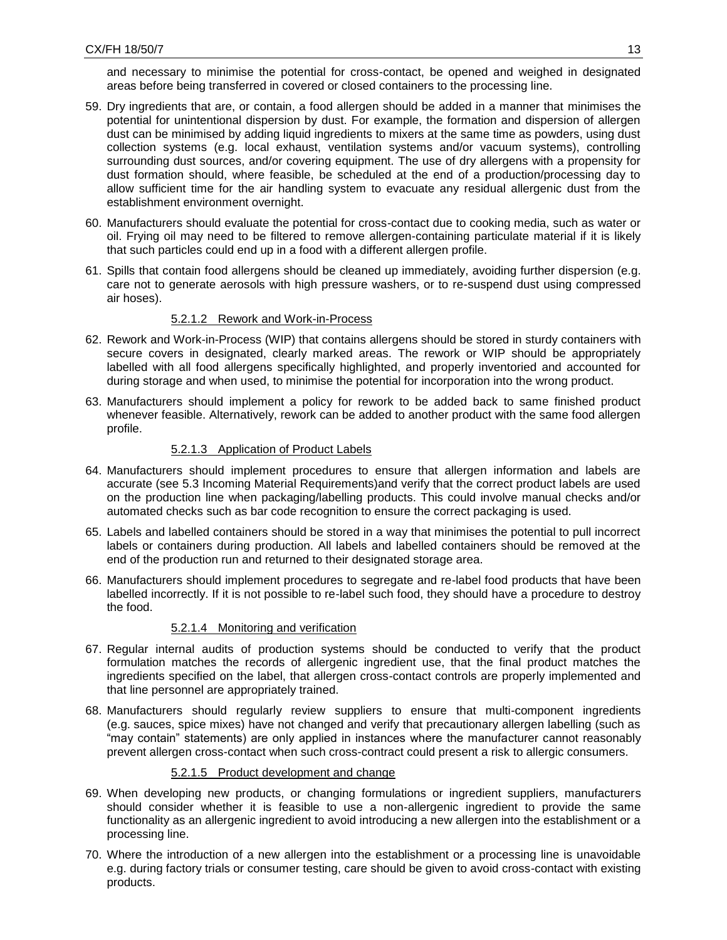and necessary to minimise the potential for cross-contact, be opened and weighed in designated areas before being transferred in covered or closed containers to the processing line.

- 59. Dry ingredients that are, or contain, a food allergen should be added in a manner that minimises the potential for unintentional dispersion by dust. For example, the formation and dispersion of allergen dust can be minimised by adding liquid ingredients to mixers at the same time as powders, using dust collection systems (e.g. local exhaust, ventilation systems and/or vacuum systems), controlling surrounding dust sources, and/or covering equipment. The use of dry allergens with a propensity for dust formation should, where feasible, be scheduled at the end of a production/processing day to allow sufficient time for the air handling system to evacuate any residual allergenic dust from the establishment environment overnight.
- 60. Manufacturers should evaluate the potential for cross-contact due to cooking media, such as water or oil. Frying oil may need to be filtered to remove allergen-containing particulate material if it is likely that such particles could end up in a food with a different allergen profile.
- 61. Spills that contain food allergens should be cleaned up immediately, avoiding further dispersion (e.g. care not to generate aerosols with high pressure washers, or to re-suspend dust using compressed air hoses).

# 5.2.1.2 Rework and Work-in-Process

- 62. Rework and Work-in-Process (WIP) that contains allergens should be stored in sturdy containers with secure covers in designated, clearly marked areas. The rework or WIP should be appropriately labelled with all food allergens specifically highlighted, and properly inventoried and accounted for during storage and when used, to minimise the potential for incorporation into the wrong product.
- 63. Manufacturers should implement a policy for rework to be added back to same finished product whenever feasible. Alternatively, rework can be added to another product with the same food allergen profile.

# 5.2.1.3 Application of Product Labels

- 64. Manufacturers should implement procedures to ensure that allergen information and labels are accurate (see 5.3 Incoming Material Requirements)and verify that the correct product labels are used on the production line when packaging/labelling products. This could involve manual checks and/or automated checks such as bar code recognition to ensure the correct packaging is used.
- 65. Labels and labelled containers should be stored in a way that minimises the potential to pull incorrect labels or containers during production. All labels and labelled containers should be removed at the end of the production run and returned to their designated storage area.
- 66. Manufacturers should implement procedures to segregate and re-label food products that have been labelled incorrectly. If it is not possible to re-label such food, they should have a procedure to destroy the food.

## 5.2.1.4 Monitoring and verification

- 67. Regular internal audits of production systems should be conducted to verify that the product formulation matches the records of allergenic ingredient use, that the final product matches the ingredients specified on the label, that allergen cross-contact controls are properly implemented and that line personnel are appropriately trained.
- 68. Manufacturers should regularly review suppliers to ensure that multi-component ingredients (e.g. sauces, spice mixes) have not changed and verify that precautionary allergen labelling (such as "may contain" statements) are only applied in instances where the manufacturer cannot reasonably prevent allergen cross-contact when such cross-contract could present a risk to allergic consumers.

## 5.2.1.5 Product development and change

- 69. When developing new products, or changing formulations or ingredient suppliers, manufacturers should consider whether it is feasible to use a non-allergenic ingredient to provide the same functionality as an allergenic ingredient to avoid introducing a new allergen into the establishment or a processing line.
- 70. Where the introduction of a new allergen into the establishment or a processing line is unavoidable e.g. during factory trials or consumer testing, care should be given to avoid cross-contact with existing products.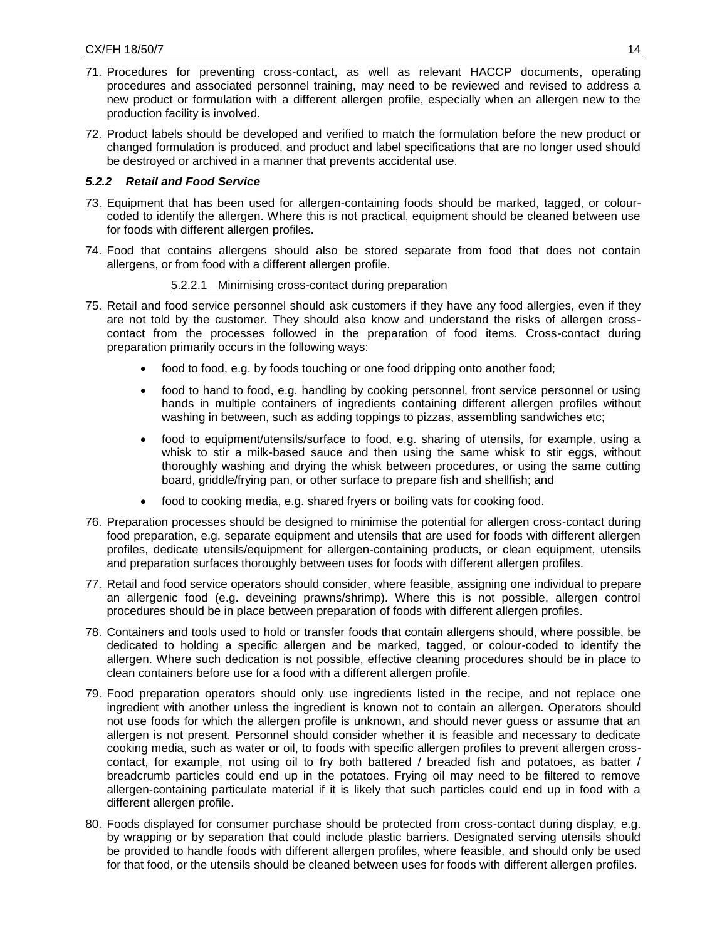- 71. Procedures for preventing cross-contact, as well as relevant HACCP documents, operating procedures and associated personnel training, may need to be reviewed and revised to address a new product or formulation with a different allergen profile, especially when an allergen new to the production facility is involved.
- 72. Product labels should be developed and verified to match the formulation before the new product or changed formulation is produced, and product and label specifications that are no longer used should be destroyed or archived in a manner that prevents accidental use.

# *5.2.2 Retail and Food Service*

- 73. Equipment that has been used for allergen-containing foods should be marked, tagged, or colourcoded to identify the allergen. Where this is not practical, equipment should be cleaned between use for foods with different allergen profiles.
- 74. Food that contains allergens should also be stored separate from food that does not contain allergens, or from food with a different allergen profile.

## 5.2.2.1 Minimising cross-contact during preparation

- 75. Retail and food service personnel should ask customers if they have any food allergies, even if they are not told by the customer. They should also know and understand the risks of allergen crosscontact from the processes followed in the preparation of food items. Cross-contact during preparation primarily occurs in the following ways:
	- food to food, e.g. by foods touching or one food dripping onto another food;
	- food to hand to food, e.g. handling by cooking personnel, front service personnel or using hands in multiple containers of ingredients containing different allergen profiles without washing in between, such as adding toppings to pizzas, assembling sandwiches etc;
	- food to equipment/utensils/surface to food, e.g. sharing of utensils, for example, using a whisk to stir a milk-based sauce and then using the same whisk to stir eggs, without thoroughly washing and drying the whisk between procedures, or using the same cutting board, griddle/frying pan, or other surface to prepare fish and shellfish; and
	- food to cooking media, e.g. shared fryers or boiling vats for cooking food.
- 76. Preparation processes should be designed to minimise the potential for allergen cross-contact during food preparation, e.g. separate equipment and utensils that are used for foods with different allergen profiles, dedicate utensils/equipment for allergen-containing products, or clean equipment, utensils and preparation surfaces thoroughly between uses for foods with different allergen profiles.
- 77. Retail and food service operators should consider, where feasible, assigning one individual to prepare an allergenic food (e.g. deveining prawns/shrimp). Where this is not possible, allergen control procedures should be in place between preparation of foods with different allergen profiles.
- 78. Containers and tools used to hold or transfer foods that contain allergens should, where possible, be dedicated to holding a specific allergen and be marked, tagged, or colour-coded to identify the allergen. Where such dedication is not possible, effective cleaning procedures should be in place to clean containers before use for a food with a different allergen profile.
- 79. Food preparation operators should only use ingredients listed in the recipe, and not replace one ingredient with another unless the ingredient is known not to contain an allergen. Operators should not use foods for which the allergen profile is unknown, and should never guess or assume that an allergen is not present. Personnel should consider whether it is feasible and necessary to dedicate cooking media, such as water or oil, to foods with specific allergen profiles to prevent allergen crosscontact, for example, not using oil to fry both battered / breaded fish and potatoes, as batter / breadcrumb particles could end up in the potatoes. Frying oil may need to be filtered to remove allergen-containing particulate material if it is likely that such particles could end up in food with a different allergen profile.
- 80. Foods displayed for consumer purchase should be protected from cross-contact during display, e.g. by wrapping or by separation that could include plastic barriers. Designated serving utensils should be provided to handle foods with different allergen profiles, where feasible, and should only be used for that food, or the utensils should be cleaned between uses for foods with different allergen profiles.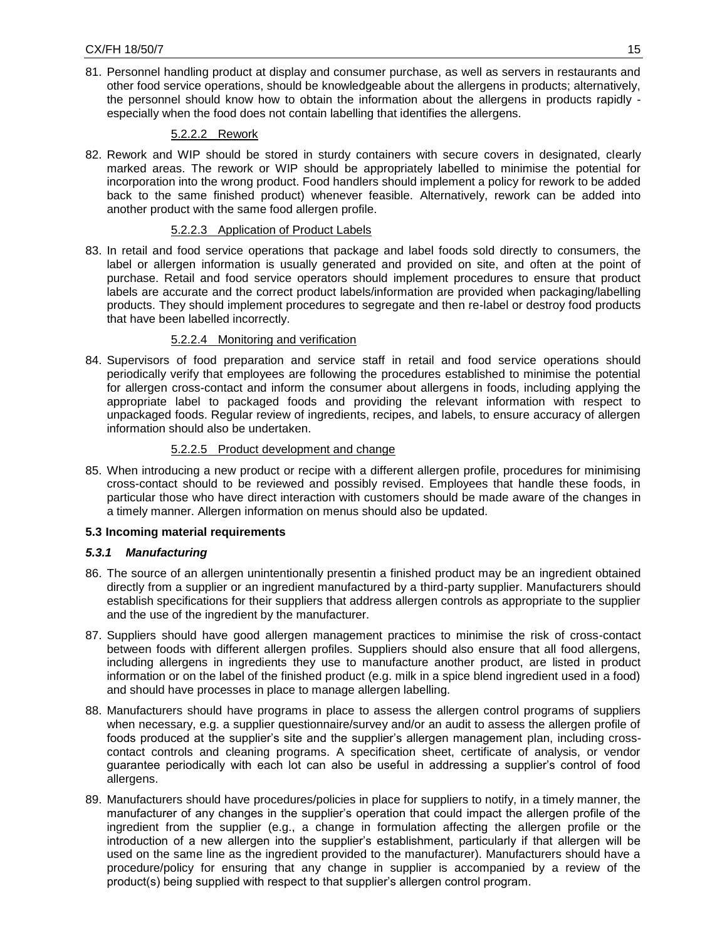81. Personnel handling product at display and consumer purchase, as well as servers in restaurants and other food service operations, should be knowledgeable about the allergens in products; alternatively, the personnel should know how to obtain the information about the allergens in products rapidly especially when the food does not contain labelling that identifies the allergens.

# 5.2.2.2 Rework

82. Rework and WIP should be stored in sturdy containers with secure covers in designated, clearly marked areas. The rework or WIP should be appropriately labelled to minimise the potential for incorporation into the wrong product. Food handlers should implement a policy for rework to be added back to the same finished product) whenever feasible. Alternatively, rework can be added into another product with the same food allergen profile.

# 5.2.2.3 Application of Product Labels

83. In retail and food service operations that package and label foods sold directly to consumers, the label or allergen information is usually generated and provided on site, and often at the point of purchase. Retail and food service operators should implement procedures to ensure that product labels are accurate and the correct product labels/information are provided when packaging/labelling products. They should implement procedures to segregate and then re-label or destroy food products that have been labelled incorrectly.

# 5.2.2.4 Monitoring and verification

84. Supervisors of food preparation and service staff in retail and food service operations should periodically verify that employees are following the procedures established to minimise the potential for allergen cross-contact and inform the consumer about allergens in foods, including applying the appropriate label to packaged foods and providing the relevant information with respect to unpackaged foods. Regular review of ingredients, recipes, and labels, to ensure accuracy of allergen information should also be undertaken.

# 5.2.2.5 Product development and change

85. When introducing a new product or recipe with a different allergen profile, procedures for minimising cross-contact should to be reviewed and possibly revised. Employees that handle these foods, in particular those who have direct interaction with customers should be made aware of the changes in a timely manner. Allergen information on menus should also be updated.

## **5.3 Incoming material requirements**

# *5.3.1 Manufacturing*

- <span id="page-14-0"></span>86. The source of an allergen unintentionally presentin a finished product may be an ingredient obtained directly from a supplier or an ingredient manufactured by a third-party supplier. Manufacturers should establish specifications for their suppliers that address allergen controls as appropriate to the supplier and the use of the ingredient by the manufacturer.
- 87. Suppliers should have good allergen management practices to minimise the risk of cross-contact between foods with different allergen profiles. Suppliers should also ensure that all food allergens, including allergens in ingredients they use to manufacture another product, are listed in product information or on the label of the finished product (e.g. milk in a spice blend ingredient used in a food) and should have processes in place to manage allergen labelling.
- 88. Manufacturers should have programs in place to assess the allergen control programs of suppliers when necessary, e.g. a supplier questionnaire/survey and/or an audit to assess the allergen profile of foods produced at the supplier's site and the supplier's allergen management plan, including crosscontact controls and cleaning programs. A specification sheet, certificate of analysis, or vendor guarantee periodically with each lot can also be useful in addressing a supplier's control of food allergens.
- 89. Manufacturers should have procedures/policies in place for suppliers to notify, in a timely manner, the manufacturer of any changes in the supplier's operation that could impact the allergen profile of the ingredient from the supplier (e.g., a change in formulation affecting the allergen profile or the introduction of a new allergen into the supplier's establishment, particularly if that allergen will be used on the same line as the ingredient provided to the manufacturer). Manufacturers should have a procedure/policy for ensuring that any change in supplier is accompanied by a review of the product(s) being supplied with respect to that supplier's allergen control program.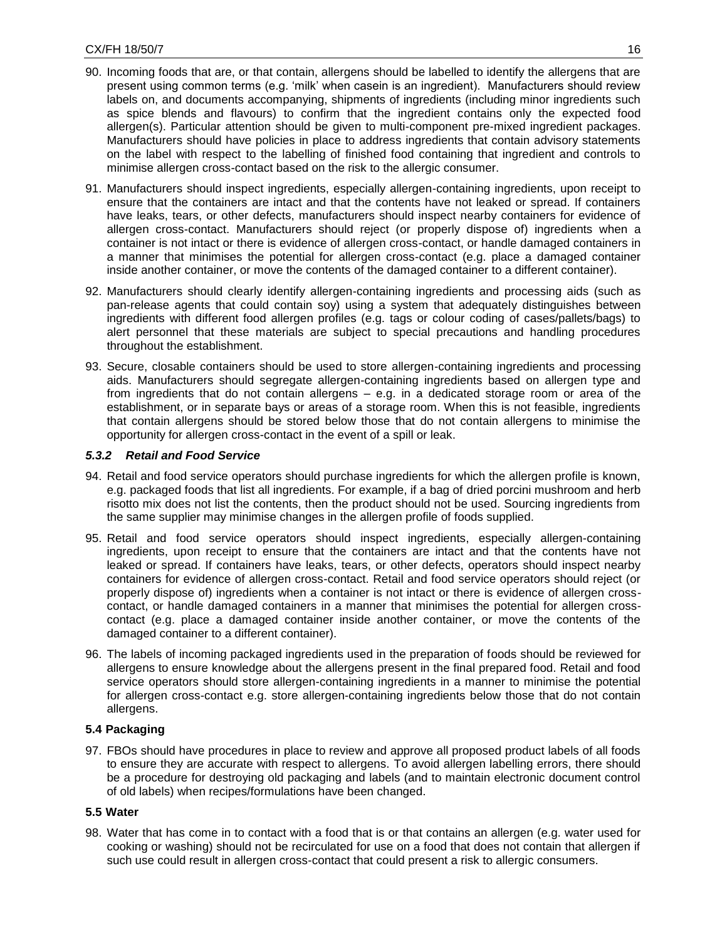- 90. Incoming foods that are, or that contain, allergens should be labelled to identify the allergens that are present using common terms (e.g. 'milk' when casein is an ingredient). Manufacturers should review labels on, and documents accompanying, shipments of ingredients (including minor ingredients such as spice blends and flavours) to confirm that the ingredient contains only the expected food allergen(s). Particular attention should be given to multi-component pre-mixed ingredient packages. Manufacturers should have policies in place to address ingredients that contain advisory statements on the label with respect to the labelling of finished food containing that ingredient and controls to minimise allergen cross-contact based on the risk to the allergic consumer.
- 91. Manufacturers should inspect ingredients, especially allergen-containing ingredients, upon receipt to ensure that the containers are intact and that the contents have not leaked or spread. If containers have leaks, tears, or other defects, manufacturers should inspect nearby containers for evidence of allergen cross-contact. Manufacturers should reject (or properly dispose of) ingredients when a container is not intact or there is evidence of allergen cross-contact, or handle damaged containers in a manner that minimises the potential for allergen cross-contact (e.g. place a damaged container inside another container, or move the contents of the damaged container to a different container).
- 92. Manufacturers should clearly identify allergen-containing ingredients and processing aids (such as pan-release agents that could contain soy) using a system that adequately distinguishes between ingredients with different food allergen profiles (e.g. tags or colour coding of cases/pallets/bags) to alert personnel that these materials are subject to special precautions and handling procedures throughout the establishment.
- 93. Secure, closable containers should be used to store allergen-containing ingredients and processing aids. Manufacturers should segregate allergen-containing ingredients based on allergen type and from ingredients that do not contain allergens – e.g. in a dedicated storage room or area of the establishment, or in separate bays or areas of a storage room. When this is not feasible, ingredients that contain allergens should be stored below those that do not contain allergens to minimise the opportunity for allergen cross-contact in the event of a spill or leak.

# *5.3.2 Retail and Food Service*

- 94. Retail and food service operators should purchase ingredients for which the allergen profile is known, e.g. packaged foods that list all ingredients. For example, if a bag of dried porcini mushroom and herb risotto mix does not list the contents, then the product should not be used. Sourcing ingredients from the same supplier may minimise changes in the allergen profile of foods supplied.
- 95. Retail and food service operators should inspect ingredients, especially allergen-containing ingredients, upon receipt to ensure that the containers are intact and that the contents have not leaked or spread. If containers have leaks, tears, or other defects, operators should inspect nearby containers for evidence of allergen cross-contact. Retail and food service operators should reject (or properly dispose of) ingredients when a container is not intact or there is evidence of allergen crosscontact, or handle damaged containers in a manner that minimises the potential for allergen crosscontact (e.g. place a damaged container inside another container, or move the contents of the damaged container to a different container).
- 96. The labels of incoming packaged ingredients used in the preparation of foods should be reviewed for allergens to ensure knowledge about the allergens present in the final prepared food. Retail and food service operators should store allergen-containing ingredients in a manner to minimise the potential for allergen cross-contact e.g. store allergen-containing ingredients below those that do not contain allergens.

# **5.4 Packaging**

97. FBOs should have procedures in place to review and approve all proposed product labels of all foods to ensure they are accurate with respect to allergens. To avoid allergen labelling errors, there should be a procedure for destroying old packaging and labels (and to maintain electronic document control of old labels) when recipes/formulations have been changed.

## <span id="page-15-0"></span>**5.5 Water**

<span id="page-15-1"></span>98. Water that has come in to contact with a food that is or that contains an allergen (e.g. water used for cooking or washing) should not be recirculated for use on a food that does not contain that allergen if such use could result in allergen cross-contact that could present a risk to allergic consumers.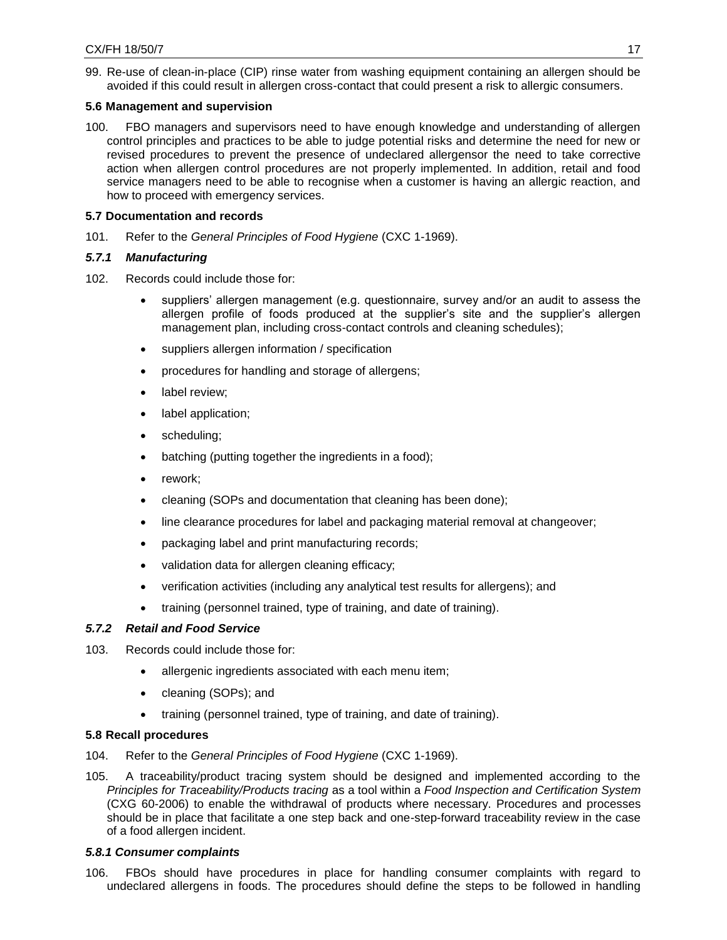99. Re-use of clean-in-place (CIP) rinse water from washing equipment containing an allergen should be avoided if this could result in allergen cross-contact that could present a risk to allergic consumers.

# **5.6 Management and supervision**

<span id="page-16-0"></span>100. FBO managers and supervisors need to have enough knowledge and understanding of allergen control principles and practices to be able to judge potential risks and determine the need for new or revised procedures to prevent the presence of undeclared allergensor the need to take corrective action when allergen control procedures are not properly implemented. In addition, retail and food service managers need to be able to recognise when a customer is having an allergic reaction, and how to proceed with emergency services.

# **5.7 Documentation and records**

101. Refer to the *General Principles of Food Hygiene* (CXC 1-1969).

# *5.7.1 Manufacturing*

- <span id="page-16-1"></span>102. Records could include those for:
	- suppliers' allergen management (e.g. questionnaire, survey and/or an audit to assess the allergen profile of foods produced at the supplier's site and the supplier's allergen management plan, including cross-contact controls and cleaning schedules);
	- suppliers allergen information / specification
	- procedures for handling and storage of allergens;
	- label review;
	- label application;
	- scheduling;
	- batching (putting together the ingredients in a food);
	- rework;
	- cleaning (SOPs and documentation that cleaning has been done);
	- line clearance procedures for label and packaging material removal at changeover;
	- packaging label and print manufacturing records;
	- validation data for allergen cleaning efficacy;
	- verification activities (including any analytical test results for allergens); and
	- training (personnel trained, type of training, and date of training).

# *5.7.2 Retail and Food Service*

- 103. Records could include those for:
	- allergenic ingredients associated with each menu item;
	- cleaning (SOPs); and
	- training (personnel trained, type of training, and date of training).

# **5.8 Recall procedures**

- 104. Refer to the *General Principles of Food Hygiene* (CXC 1-1969).
- <span id="page-16-2"></span>105. A traceability/product tracing system should be designed and implemented according to the *Principles for Traceability/Products tracing* as a tool within a *Food Inspection and Certification System*  (CXG 60-2006) to enable the withdrawal of products where necessary. Procedures and processes should be in place that facilitate a one step back and one-step-forward traceability review in the case of a food allergen incident.

## *5.8.1 Consumer complaints*

106. FBOs should have procedures in place for handling consumer complaints with regard to undeclared allergens in foods. The procedures should define the steps to be followed in handling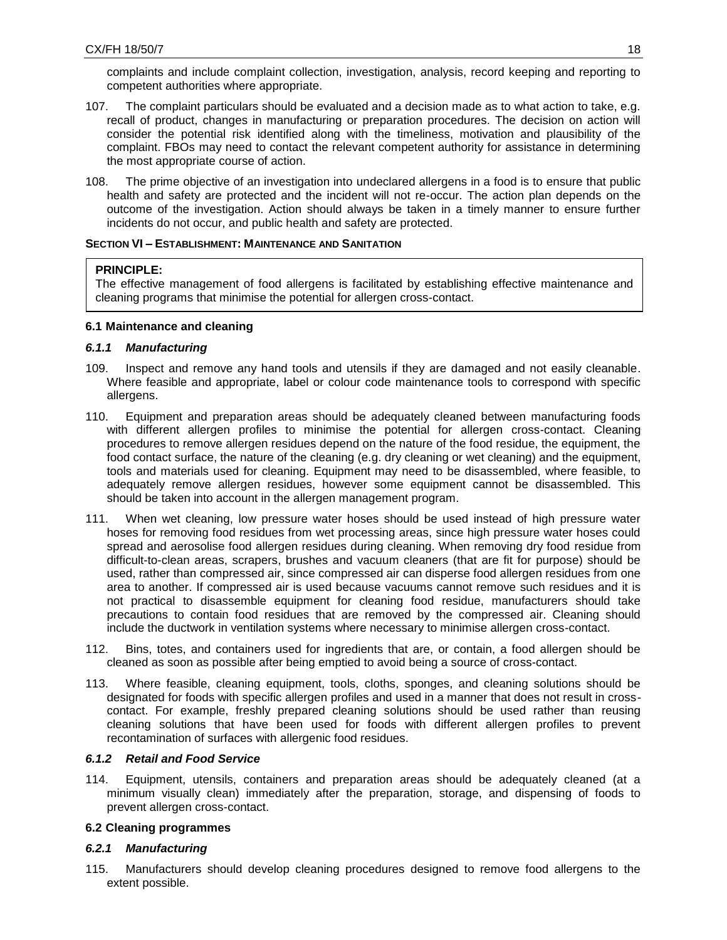complaints and include complaint collection, investigation, analysis, record keeping and reporting to competent authorities where appropriate.

- 107. The complaint particulars should be evaluated and a decision made as to what action to take, e.g. recall of product, changes in manufacturing or preparation procedures. The decision on action will consider the potential risk identified along with the timeliness, motivation and plausibility of the complaint. FBOs may need to contact the relevant competent authority for assistance in determining the most appropriate course of action.
- 108. The prime objective of an investigation into undeclared allergens in a food is to ensure that public health and safety are protected and the incident will not re-occur. The action plan depends on the outcome of the investigation. Action should always be taken in a timely manner to ensure further incidents do not occur, and public health and safety are protected.

## **SECTION VI – ESTABLISHMENT: MAINTENANCE AND SANITATION**

# **PRINCIPLE:**

<span id="page-17-0"></span>The effective management of food allergens is facilitated by establishing effective maintenance and cleaning programs that minimise the potential for allergen cross-contact.

# **6.1 Maintenance and cleaning**

# *6.1.1 Manufacturing*

- <span id="page-17-1"></span>109. Inspect and remove any hand tools and utensils if they are damaged and not easily cleanable. Where feasible and appropriate, label or colour code maintenance tools to correspond with specific allergens.
- 110. Equipment and preparation areas should be adequately cleaned between manufacturing foods with different allergen profiles to minimise the potential for allergen cross-contact. Cleaning procedures to remove allergen residues depend on the nature of the food residue, the equipment, the food contact surface, the nature of the cleaning (e.g. dry cleaning or wet cleaning) and the equipment, tools and materials used for cleaning. Equipment may need to be disassembled, where feasible, to adequately remove allergen residues, however some equipment cannot be disassembled. This should be taken into account in the allergen management program.
- 111. When wet cleaning, low pressure water hoses should be used instead of high pressure water hoses for removing food residues from wet processing areas, since high pressure water hoses could spread and aerosolise food allergen residues during cleaning. When removing dry food residue from difficult-to-clean areas, scrapers, brushes and vacuum cleaners (that are fit for purpose) should be used, rather than compressed air, since compressed air can disperse food allergen residues from one area to another. If compressed air is used because vacuums cannot remove such residues and it is not practical to disassemble equipment for cleaning food residue, manufacturers should take precautions to contain food residues that are removed by the compressed air. Cleaning should include the ductwork in ventilation systems where necessary to minimise allergen cross-contact.
- 112. Bins, totes, and containers used for ingredients that are, or contain, a food allergen should be cleaned as soon as possible after being emptied to avoid being a source of cross-contact.
- 113. Where feasible, cleaning equipment, tools, cloths, sponges, and cleaning solutions should be designated for foods with specific allergen profiles and used in a manner that does not result in crosscontact. For example, freshly prepared cleaning solutions should be used rather than reusing cleaning solutions that have been used for foods with different allergen profiles to prevent recontamination of surfaces with allergenic food residues.

## *6.1.2 Retail and Food Service*

114. Equipment, utensils, containers and preparation areas should be adequately cleaned (at a minimum visually clean) immediately after the preparation, storage, and dispensing of foods to prevent allergen cross-contact.

# **6.2 Cleaning programmes**

# *6.2.1 Manufacturing*

<span id="page-17-2"></span>115. Manufacturers should develop cleaning procedures designed to remove food allergens to the extent possible.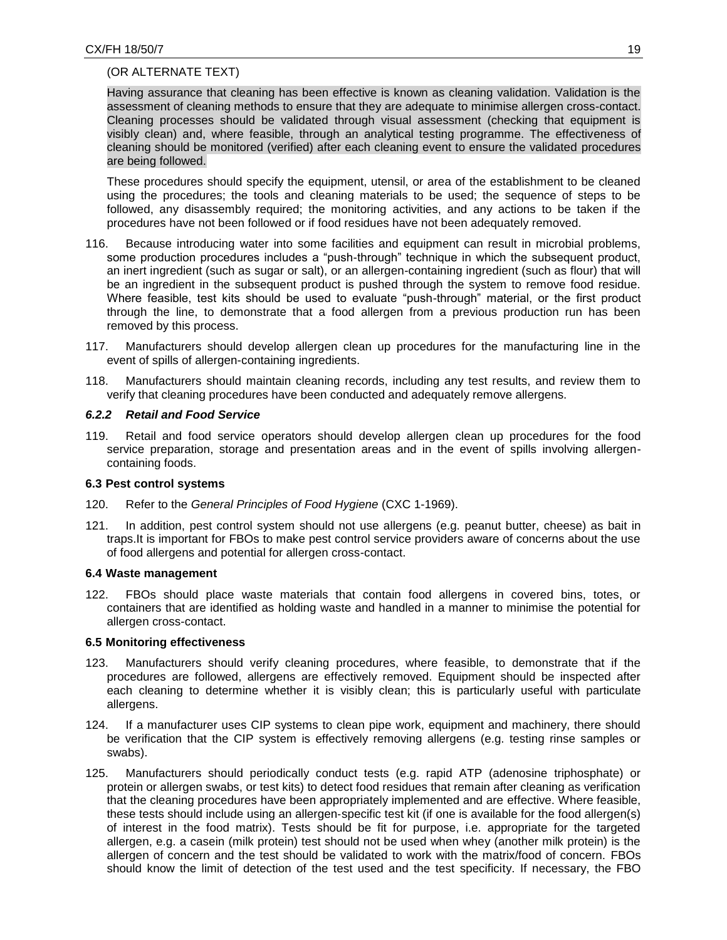## (OR ALTERNATE TEXT)

Having assurance that cleaning has been effective is known as cleaning validation. Validation is the assessment of cleaning methods to ensure that they are adequate to minimise allergen cross-contact. Cleaning processes should be validated through visual assessment (checking that equipment is visibly clean) and, where feasible, through an analytical testing programme. The effectiveness of cleaning should be monitored (verified) after each cleaning event to ensure the validated procedures are being followed.

These procedures should specify the equipment, utensil, or area of the establishment to be cleaned using the procedures; the tools and cleaning materials to be used; the sequence of steps to be followed, any disassembly required; the monitoring activities, and any actions to be taken if the procedures have not been followed or if food residues have not been adequately removed.

- 116. Because introducing water into some facilities and equipment can result in microbial problems, some production procedures includes a "push-through" technique in which the subsequent product, an inert ingredient (such as sugar or salt), or an allergen-containing ingredient (such as flour) that will be an ingredient in the subsequent product is pushed through the system to remove food residue. Where feasible, test kits should be used to evaluate "push-through" material, or the first product through the line, to demonstrate that a food allergen from a previous production run has been removed by this process.
- 117. Manufacturers should develop allergen clean up procedures for the manufacturing line in the event of spills of allergen-containing ingredients.
- 118. Manufacturers should maintain cleaning records, including any test results, and review them to verify that cleaning procedures have been conducted and adequately remove allergens.

### *6.2.2 Retail and Food Service*

119. Retail and food service operators should develop allergen clean up procedures for the food service preparation, storage and presentation areas and in the event of spills involving allergencontaining foods.

### **6.3 Pest control systems**

- 120. Refer to the *General Principles of Food Hygiene* (CXC 1-1969).
- <span id="page-18-0"></span>121. In addition, pest control system should not use allergens (e.g. peanut butter, cheese) as bait in traps.It is important for FBOs to make pest control service providers aware of concerns about the use of food allergens and potential for allergen cross-contact.

### **6.4 Waste management**

122. FBOs should place waste materials that contain food allergens in covered bins, totes, or containers that are identified as holding waste and handled in a manner to minimise the potential for allergen cross-contact.

### <span id="page-18-1"></span>**6.5 Monitoring effectiveness**

- 123. Manufacturers should verify cleaning procedures, where feasible, to demonstrate that if the procedures are followed, allergens are effectively removed. Equipment should be inspected after each cleaning to determine whether it is visibly clean; this is particularly useful with particulate allergens.
- <span id="page-18-2"></span>124. If a manufacturer uses CIP systems to clean pipe work, equipment and machinery, there should be verification that the CIP system is effectively removing allergens (e.g. testing rinse samples or swabs).
- 125. Manufacturers should periodically conduct tests (e.g. rapid ATP (adenosine triphosphate) or protein or allergen swabs, or test kits) to detect food residues that remain after cleaning as verification that the cleaning procedures have been appropriately implemented and are effective. Where feasible, these tests should include using an allergen‐specific test kit (if one is available for the food allergen(s) of interest in the food matrix). Tests should be fit for purpose, i.e. appropriate for the targeted allergen, e.g. a casein (milk protein) test should not be used when whey (another milk protein) is the allergen of concern and the test should be validated to work with the matrix/food of concern. FBOs should know the limit of detection of the test used and the test specificity. If necessary, the FBO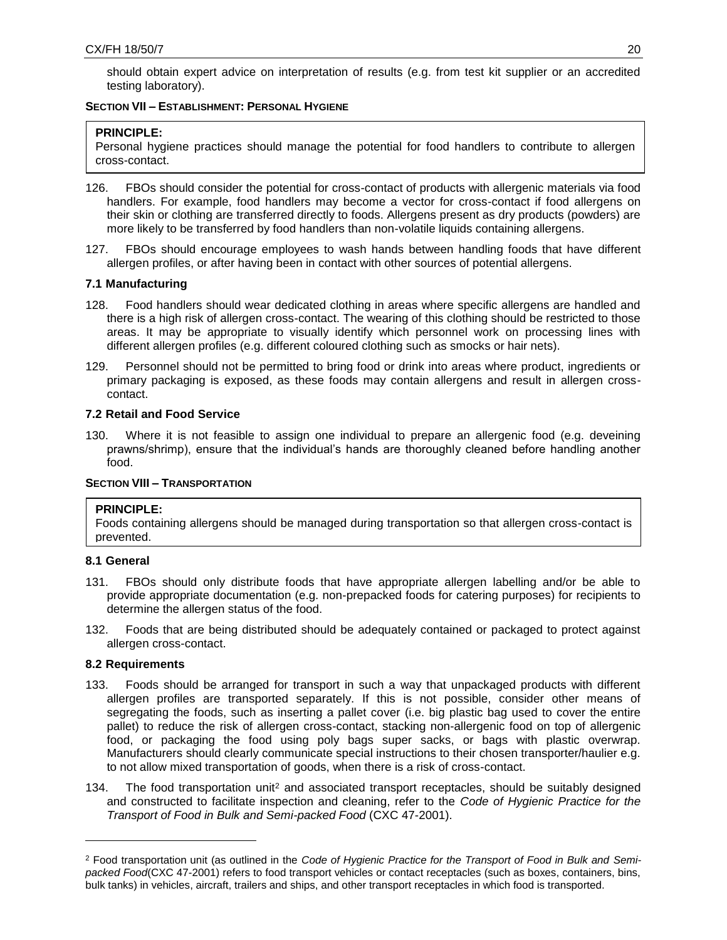should obtain expert advice on interpretation of results (e.g. from test kit supplier or an accredited testing laboratory).

## **SECTION VII – ESTABLISHMENT: PERSONAL HYGIENE**

# **PRINCIPLE:**

<span id="page-19-0"></span>Personal hygiene practices should manage the potential for food handlers to contribute to allergen cross-contact.

- 126. FBOs should consider the potential for cross-contact of products with allergenic materials via food handlers. For example, food handlers may become a vector for cross-contact if food allergens on their skin or clothing are transferred directly to foods. Allergens present as dry products (powders) are more likely to be transferred by food handlers than non-volatile liquids containing allergens.
- 127. FBOs should encourage employees to wash hands between handling foods that have different allergen profiles, or after having been in contact with other sources of potential allergens.

# **7.1 Manufacturing**

- 128. Food handlers should wear dedicated clothing in areas where specific allergens are handled and there is a high risk of allergen cross-contact. The wearing of this clothing should be restricted to those areas. It may be appropriate to visually identify which personnel work on processing lines with different allergen profiles (e.g. different coloured clothing such as smocks or hair nets).
- <span id="page-19-1"></span>129. Personnel should not be permitted to bring food or drink into areas where product, ingredients or primary packaging is exposed, as these foods may contain allergens and result in allergen crosscontact.

# **7.2 Retail and Food Service**

130. Where it is not feasible to assign one individual to prepare an allergenic food (e.g. deveining prawns/shrimp), ensure that the individual's hands are thoroughly cleaned before handling another food.

# <span id="page-19-2"></span>**SECTION VIII – TRANSPORTATION**

## **PRINCIPLE:**

Foods containing allergens should be managed during transportation so that allergen cross-contact is prevented.

## <span id="page-19-3"></span>**8.1 General**

- 131. FBOs should only distribute foods that have appropriate allergen labelling and/or be able to provide appropriate documentation (e.g. non-prepacked foods for catering purposes) for recipients to determine the allergen status of the food.
- <span id="page-19-4"></span>132. Foods that are being distributed should be adequately contained or packaged to protect against allergen cross-contact.

# **8.2 Requirements**

 $\overline{a}$ 

- <span id="page-19-5"></span>133. Foods should be arranged for transport in such a way that unpackaged products with different allergen profiles are transported separately. If this is not possible, consider other means of segregating the foods, such as inserting a pallet cover (i.e. big plastic bag used to cover the entire pallet) to reduce the risk of allergen cross-contact, stacking non-allergenic food on top of allergenic food, or packaging the food using poly bags super sacks, or bags with plastic overwrap. Manufacturers should clearly communicate special instructions to their chosen transporter/haulier e.g. to not allow mixed transportation of goods, when there is a risk of cross-contact.
- 134. The food transportation unit<sup>2</sup> and associated transport receptacles, should be suitably designed and constructed to facilitate inspection and cleaning, refer to the *Code of Hygienic Practice for the Transport of Food in Bulk and Semi-packed Food* (CXC 47-2001).

<sup>2</sup> Food transportation unit (as outlined in the *Code of Hygienic Practice for the Transport of Food in Bulk and Semipacked Food*(CXC 47-2001) refers to food transport vehicles or contact receptacles (such as boxes, containers, bins, bulk tanks) in vehicles, aircraft, trailers and ships, and other transport receptacles in which food is transported.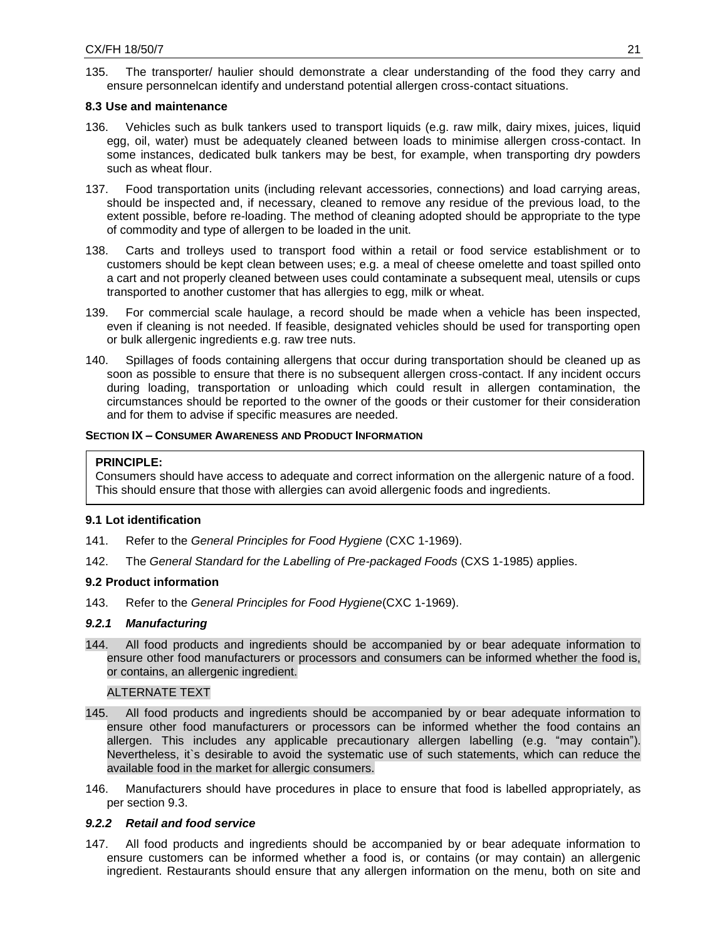135. The transporter/ haulier should demonstrate a clear understanding of the food they carry and ensure personnelcan identify and understand potential allergen cross-contact situations.

### **8.3 Use and maintenance**

- 136. Vehicles such as bulk tankers used to transport liquids (e.g. raw milk, dairy mixes, juices, liquid egg, oil, water) must be adequately cleaned between loads to minimise allergen cross-contact. In some instances, dedicated bulk tankers may be best, for example, when transporting dry powders such as wheat flour.
- <span id="page-20-0"></span>137. Food transportation units (including relevant accessories, connections) and load carrying areas, should be inspected and, if necessary, cleaned to remove any residue of the previous load, to the extent possible, before re-loading. The method of cleaning adopted should be appropriate to the type of commodity and type of allergen to be loaded in the unit.
- 138. Carts and trolleys used to transport food within a retail or food service establishment or to customers should be kept clean between uses; e.g. a meal of cheese omelette and toast spilled onto a cart and not properly cleaned between uses could contaminate a subsequent meal, utensils or cups transported to another customer that has allergies to egg, milk or wheat.
- 139. For commercial scale haulage, a record should be made when a vehicle has been inspected, even if cleaning is not needed. If feasible, designated vehicles should be used for transporting open or bulk allergenic ingredients e.g. raw tree nuts.
- 140. Spillages of foods containing allergens that occur during transportation should be cleaned up as soon as possible to ensure that there is no subsequent allergen cross-contact. If any incident occurs during loading, transportation or unloading which could result in allergen contamination, the circumstances should be reported to the owner of the goods or their customer for their consideration and for them to advise if specific measures are needed.

## **SECTION IX – CONSUMER AWARENESS AND PRODUCT INFORMATION**

## **PRINCIPLE:**

<span id="page-20-1"></span>Consumers should have access to adequate and correct information on the allergenic nature of a food. This should ensure that those with allergies can avoid allergenic foods and ingredients.

## **9.1 Lot identification**

- 141. Refer to the *General Principles for Food Hygiene* (CXC 1-1969).
- 142. The *General Standard for the Labelling of Pre-packaged Foods* (CXS 1-1985) applies.

## <span id="page-20-2"></span>**9.2 Product information**

143. Refer to the *General Principles for Food Hygiene*(CXC 1-1969).

### *9.2.1 Manufacturing*

<span id="page-20-3"></span>144. All food products and ingredients should be accompanied by or bear adequate information to ensure other food manufacturers or processors and consumers can be informed whether the food is, or contains, an allergenic ingredient.

### ALTERNATE TEXT

- 145. All food products and ingredients should be accompanied by or bear adequate information to ensure other food manufacturers or processors can be informed whether the food contains an allergen. This includes any applicable precautionary allergen labelling (e.g. "may contain"). Nevertheless, it`s desirable to avoid the systematic use of such statements, which can reduce the available food in the market for allergic consumers.
- 146. Manufacturers should have procedures in place to ensure that food is labelled appropriately, as per section 9.3.

## *9.2.2 Retail and food service*

147. All food products and ingredients should be accompanied by or bear adequate information to ensure customers can be informed whether a food is, or contains (or may contain) an allergenic ingredient. Restaurants should ensure that any allergen information on the menu, both on site and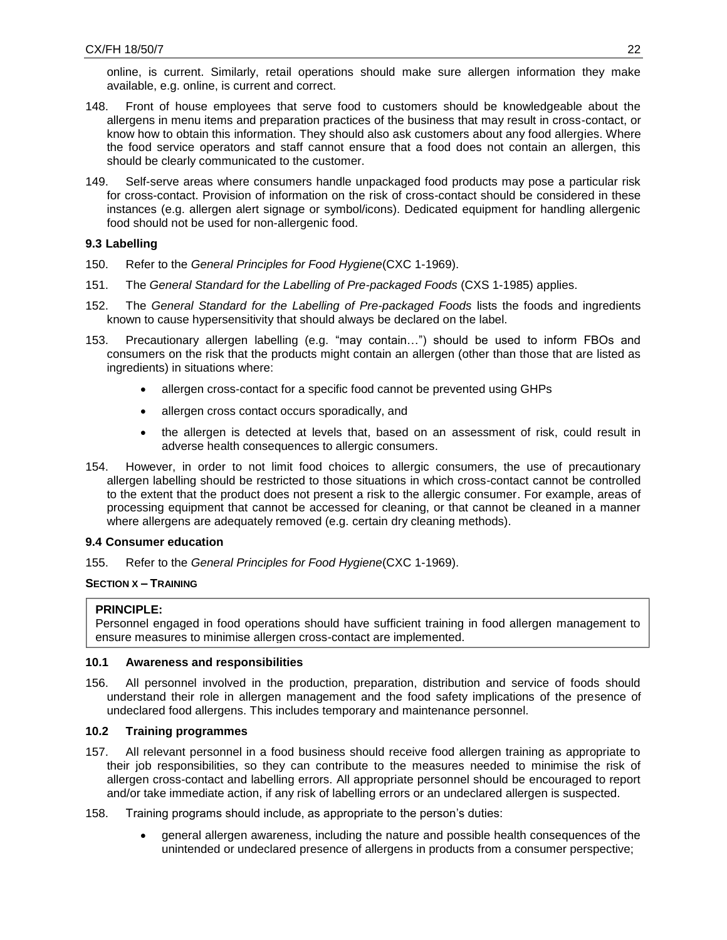online, is current. Similarly, retail operations should make sure allergen information they make available, e.g. online, is current and correct.

- 148. Front of house employees that serve food to customers should be knowledgeable about the allergens in menu items and preparation practices of the business that may result in cross-contact, or know how to obtain this information. They should also ask customers about any food allergies. Where the food service operators and staff cannot ensure that a food does not contain an allergen, this should be clearly communicated to the customer.
- 149. Self-serve areas where consumers handle unpackaged food products may pose a particular risk for cross-contact. Provision of information on the risk of cross-contact should be considered in these instances (e.g. allergen alert signage or symbol/icons). Dedicated equipment for handling allergenic food should not be used for non-allergenic food.

# **9.3 Labelling**

- 150. Refer to the *General Principles for Food Hygiene*(CXC 1-1969).
- 151. The *General Standard for the Labelling of Pre-packaged Foods* (CXS 1-1985) applies.
- <span id="page-21-0"></span>152. The *General Standard for the Labelling of Pre-packaged Foods* lists the foods and ingredients known to cause hypersensitivity that should always be declared on the label.
- <span id="page-21-1"></span>153. Precautionary allergen labelling (e.g. "may contain…") should be used to inform FBOs and consumers on the risk that the products might contain an allergen (other than those that are listed as ingredients) in situations where:
	- allergen cross-contact for a specific food cannot be prevented using GHPs
	- allergen cross contact occurs sporadically, and
	- the allergen is detected at levels that, based on an assessment of risk, could result in adverse health consequences to allergic consumers.
- 154. However, in order to not limit food choices to allergic consumers, the use of precautionary allergen labelling should be restricted to those situations in which cross-contact cannot be controlled to the extent that the product does not present a risk to the allergic consumer. For example, areas of processing equipment that cannot be accessed for cleaning, or that cannot be cleaned in a manner where allergens are adequately removed (e.g. certain dry cleaning methods).

## **9.4 Consumer education**

155. Refer to the *General Principles for Food Hygiene*(CXC 1-1969).

## **SECTION X – TRAINING**

## **PRINCIPLE:**

Personnel engaged in food operations should have sufficient training in food allergen management to ensure measures to minimise allergen cross-contact are implemented.

## <span id="page-21-2"></span>**10.1 Awareness and responsibilities**

156. All personnel involved in the production, preparation, distribution and service of foods should understand their role in allergen management and the food safety implications of the presence of undeclared food allergens. This includes temporary and maintenance personnel.

# <span id="page-21-3"></span>**10.2 Training programmes**

- 157. All relevant personnel in a food business should receive food allergen training as appropriate to their job responsibilities, so they can contribute to the measures needed to minimise the risk of allergen cross-contact and labelling errors. All appropriate personnel should be encouraged to report and/or take immediate action, if any risk of labelling errors or an undeclared allergen is suspected.
- <span id="page-21-4"></span>158. Training programs should include, as appropriate to the person's duties:
	- general allergen awareness, including the nature and possible health consequences of the unintended or undeclared presence of allergens in products from a consumer perspective;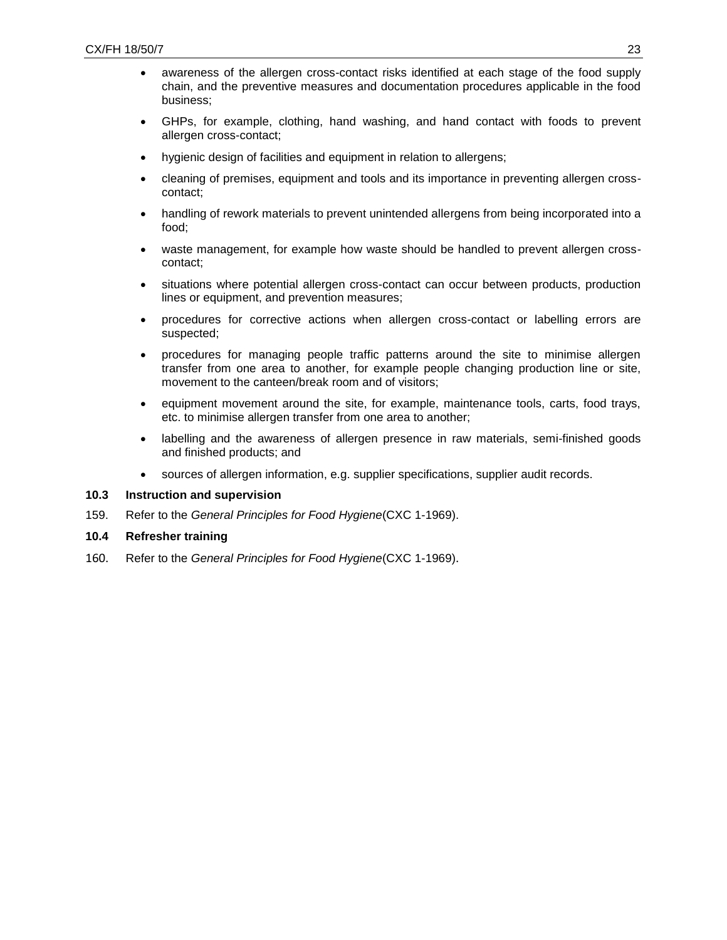- awareness of the allergen cross-contact risks identified at each stage of the food supply chain, and the preventive measures and documentation procedures applicable in the food business;
- GHPs, for example, clothing, hand washing, and hand contact with foods to prevent allergen cross-contact;
- hygienic design of facilities and equipment in relation to allergens;
- cleaning of premises, equipment and tools and its importance in preventing allergen crosscontact;
- handling of rework materials to prevent unintended allergens from being incorporated into a food;
- waste management, for example how waste should be handled to prevent allergen crosscontact;
- situations where potential allergen cross-contact can occur between products, production lines or equipment, and prevention measures;
- procedures for corrective actions when allergen cross-contact or labelling errors are suspected;
- procedures for managing people traffic patterns around the site to minimise allergen transfer from one area to another, for example people changing production line or site, movement to the canteen/break room and of visitors;
- equipment movement around the site, for example, maintenance tools, carts, food trays, etc. to minimise allergen transfer from one area to another;
- labelling and the awareness of allergen presence in raw materials, semi-finished goods and finished products; and
- sources of allergen information, e.g. supplier specifications, supplier audit records.

**10.3 Instruction and supervision**

- 159. Refer to the *General Principles for Food Hygiene*(CXC 1-1969).
- **10.4 Refresher training**
- <span id="page-22-1"></span><span id="page-22-0"></span>160. Refer to the *General Principles for Food Hygiene*(CXC 1-1969).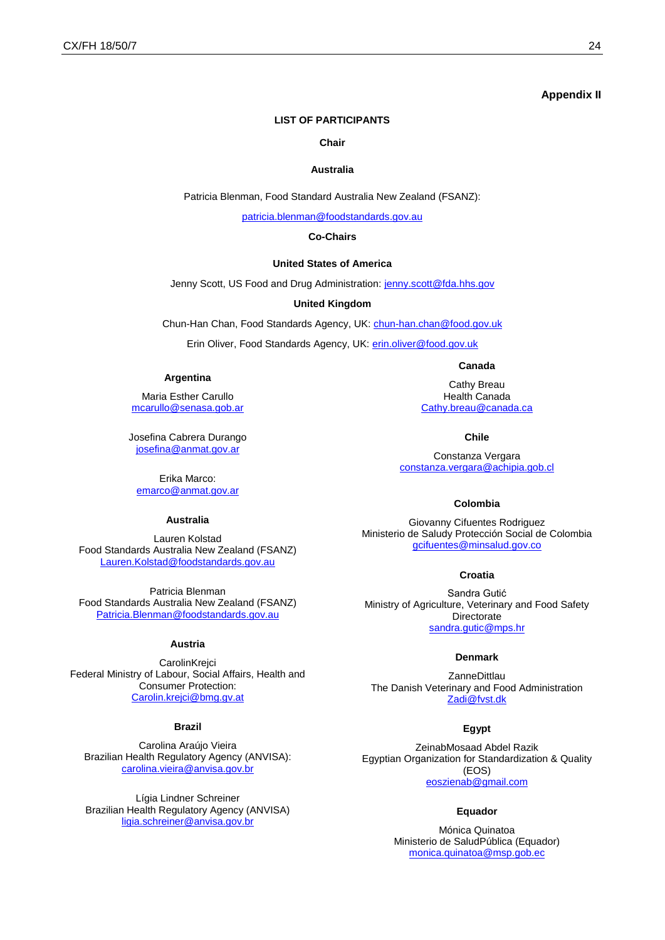### **Appendix II**

### **LIST OF PARTICIPANTS**

#### **Chair**

#### **Australia**

Patricia Blenman, Food Standard Australia New Zealand (FSANZ):

[patricia.blenman@foodstandards.gov.au](mailto:patricia.blenman@foodstandards.gov.au)

#### **Co-Chairs**

#### **United States of America**

Jenny Scott, US Food and Drug Administration: [jenny.scott@fda.hhs.gov](mailto:jenny.scott@fda.hhs.gov)

#### **United Kingdom**

Chun-Han Chan, Food Standards Agency, UK[: chun-han.chan@food.gov.uk](mailto:chun-han.chan@food.gov.uk)

Erin Oliver, Food Standards Agency, UK: [erin.oliver@food.gov.uk](mailto:erin.oliver@food.gov.uk)

#### **Argentina**

Maria Esther Carullo [mcarullo@senasa.gob.ar](mailto:mcarullo@senasa.gob.ar)

Josefina Cabrera Durango [josefina@anmat.gov.ar](mailto:josefina@anmat.gov.ar)

Erika Marco: [emarco@anmat.gov.ar](mailto:emarco@anmat.gov.ar)

### **Australia**

Lauren Kolstad Food Standards Australia New Zealand (FSANZ) [Lauren.Kolstad@foodstandards.gov.au](mailto:Lauren.Kolstad@foodstandards.gov.au)

Patricia Blenman Food Standards Australia New Zealand (FSANZ) [Patricia.Blenman@foodstandards.gov.au](mailto:Patricia.Blenman@foodstandards.gov.au)

### **Austria**

**CarolinKrejci** Federal Ministry of Labour, Social Affairs, Health and Consumer Protection: [Carolin.krejci@bmg.gv.at](mailto:Carolin.krejci@bmg.gv.at)

### **Brazil**

Carolina Araújo Vieira Brazilian Health Regulatory Agency (ANVISA): [carolina.vieira@anvisa.gov.br](mailto:carolina.vieira@anvisa.gov.br)

Lígia Lindner Schreiner Brazilian Health Regulatory Agency (ANVISA) [ligia.schreiner@anvisa.gov.br](mailto:ligia.schreiner@anvisa.gov.br)

Cathy Breau Health Canada [Cathy.breau@canada.ca](mailto:Cathy.breau@canada.ca)

**Canada**

**Chile**

Constanza Vergara [constanza.vergara@achipia.gob.cl](mailto:constanza.vergara@achipia.gob.cl)

#### **Colombia**

Giovanny Cifuentes Rodriguez Ministerio de Saludy Protección Social de Colombia [gcifuentes@minsalud.gov.co](mailto:gcifuentes@minsalud.gov.co)

#### **Croatia**

Sandra Gutić Ministry of Agriculture, Veterinary and Food Safety Directorate [sandra.gutic@mps.hr](mailto:sandra.gutic@mps.hr)

#### **Denmark**

**ZanneDittlau** The Danish Veterinary and Food Administration [Zadi@fvst.dk](mailto:Zadi@fvst.dk)

### **Egypt**

ZeinabMosaad Abdel Razik Egyptian Organization for Standardization & Quality (EOS) [eoszienab@gmail.com](mailto:eoszienab@gmail.com)

### **Equador**

Mónica Quinatoa Ministerio de SaludPública (Equador) [monica.quinatoa@msp.gob.ec](mailto:monica.quinatoa@msp.gob.ec)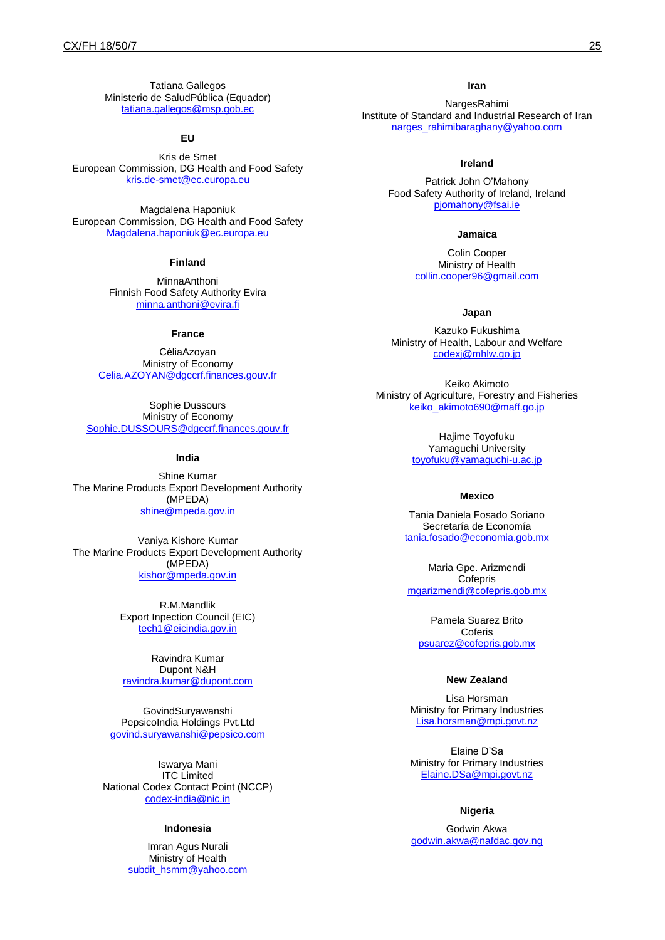Tatiana Gallegos Ministerio de SaludPública (Equador) [tatiana.gallegos@msp.gob.ec](mailto:tatiana.gallegos@msp.gob.ec)

#### **EU**

Kris de Smet European Commission, DG Health and Food Safety [kris.de-smet@ec.europa.eu](mailto:kris.de-smet@ec.europa.eu)

Magdalena Haponiuk European Commission, DG Health and Food Safety [Magdalena.haponiuk@ec.europa.eu](mailto:Magdalena.haponiuk@ec.europa.eu)

#### **Finland**

MinnaAnthoni Finnish Food Safety Authority Evira [minna.anthoni@evira.fi](mailto:minna.anthoni@evira.fi)

#### **France**

CéliaAzoyan Ministry of Economy [Celia.AZOYAN@dgccrf.finances.gouv.fr](mailto:Celia.AZOYAN@dgccrf.finances.gouv.fr)

Sophie Dussours Ministry of Economy [Sophie.DUSSOURS@dgccrf.finances.gouv.fr](mailto:Sophie.DUSSOURS@dgccrf.finances.gouv.fr)

#### **India**

Shine Kumar The Marine Products Export Development Authority (MPEDA) [shine@mpeda.gov.in](mailto:shine@mpeda.gov.in)

Vaniya Kishore Kumar The Marine Products Export Development Authority (MPEDA) [kishor@mpeda.gov.in](mailto:kishor@mpeda.gov.in)

> R.M.Mandlik Export Inpection Council (EIC) [tech1@eicindia.gov.in](mailto:tech1@eicindia.gov.in)

Ravindra Kumar Dupont N&H [ravindra.kumar@dupont.com](mailto:ravindra.kumar@dupont.com)

GovindSuryawanshi PepsicoIndia Holdings Pvt.Ltd [govind.suryawanshi@pepsico.com](mailto:govind.suryawanshi@pepsico.com)

Iswarya Mani ITC Limited National Codex Contact Point (NCCP) [codex-india@nic.in](mailto:codex-india@nic.in)

### **Indonesia**

Imran Agus Nurali Ministry of Health [subdit\\_hsmm@yahoo.com](mailto:subdit_hsmm@yahoo.com)

#### **Iran**

NargesRahimi Institute of Standard and Industrial Research of Iran [narges\\_rahimibaraghany@yahoo.com](mailto:narges_rahimibaraghany@yahoo.com)

#### **Ireland**

Patrick John O'Mahony Food Safety Authority of Ireland, Ireland [pjomahony@fsai.ie](mailto:pjomahony@fsai.ie)

#### **Jamaica**

Colin Cooper Ministry of Health [collin.cooper96@gmail.com](mailto:collin.cooper96@gmail.com)

### **Japan**

Kazuko Fukushima Ministry of Health, Labour and Welfare [codexj@mhlw.go.jp](mailto:codexj@mhlw.go.jp)

Keiko Akimoto Ministry of Agriculture, Forestry and Fisheries [keiko\\_akimoto690@maff.go.jp](mailto:keiko_akimoto690@maff.go.jp)

> Hajime Toyofuku Yamaguchi University [toyofuku@yamaguchi-u.ac.jp](mailto:toyofuku@yamaguchi-u.ac.jp)

#### **Mexico**

Tania Daniela Fosado Soriano Secretaría de Economía [tania.fosado@economia.gob.mx](mailto:tania.fosado@economia.gob.mx)

Maria Gpe. Arizmendi **Cofepris** [mgarizmendi@cofepris.gob.mx](mailto:mgarizmendi@cofepris.gob.mx)

Pamela Suarez Brito Coferis [psuarez@cofepris.gob.mx](mailto:psuarez@cofepris.gob.mx)

### **New Zealand**

Lisa Horsman Ministry for Primary Industries [Lisa.horsman@mpi.govt.nz](mailto:Lisa.horsman@mpi.govt.nz)

Elaine D'Sa Ministry for Primary Industries [Elaine.DSa@mpi.govt.nz](mailto:Elaine.DSa@mpi.govt.nz)

#### **Nigeria**

Godwin Akwa [godwin.akwa@nafdac.gov.ng](mailto:godwin.akwa@nafdac.gov.ng)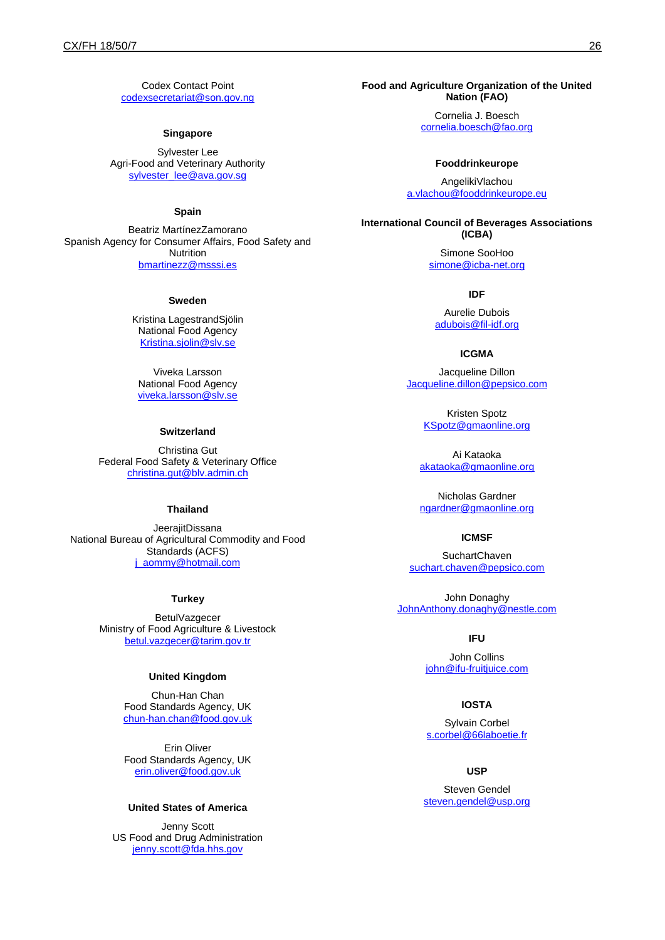Codex Contact Point [codexsecretariat@son.gov.ng](mailto:codexsecretariat@son.gov.ng)

### **Singapore**

Sylvester Lee Agri-Food and Veterinary Authority [sylvester\\_lee@ava.gov.sg](mailto:sylvester_lee@ava.gov.sg)

### **Spain**

Beatriz MartínezZamorano Spanish Agency for Consumer Affairs, Food Safety and **Nutrition** [bmartinezz@msssi.es](mailto:bmartinezz@msssi.es)

### **Sweden**

Kristina LagestrandSjölin National Food Agency [Kristina.sjolin@slv.se](mailto:Kristina.sjolin@slv.se)

Viveka Larsson National Food Agency [viveka.larsson@slv.se](mailto:viveka.larsson@slv.se)

#### **Switzerland**

Christina Gut Federal Food Safety & Veterinary Office [christina.gut@blv.admin.ch](mailto:christina.gut@blv.admin.ch)

### **Thailand**

JeerajitDissana National Bureau of Agricultural Commodity and Food Standards (ACFS) [j\\_aommy@hotmail.com](mailto:j_aommy@hotmail.com)

#### **Turkey**

BetulVazgecer Ministry of Food Agriculture & Livestock [betul.vazgecer@tarim.gov.tr](mailto:betul.vazgecer@tarim.gov.tr)

### **United Kingdom**

Chun-Han Chan Food Standards Agency, UK [chun-han.chan@food.gov.uk](mailto:chun-han.chan@food.gov.uk)

Erin Oliver Food Standards Agency, UK [erin.oliver@food.gov.uk](mailto:erin.oliver@food.gov.uk)

### **United States of America**

Jenny Scott US Food and Drug Administration [jenny.scott@fda.hhs.gov](mailto:jenny.scott@fda.hhs.gov)

### **Food and Agriculture Organization of the United Nation (FAO)**

Cornelia J. Boesch [cornelia.boesch@fao.org](mailto:cornelia.boesch@fao.org)

#### **Fooddrinkeurope**

AngelikiVlachou [a.vlachou@fooddrinkeurope.eu](mailto:a.vlachou@fooddrinkeurope.eu)

**International Council of Beverages Associations (ICBA)**

> Simone SooHoo [simone@icba-net.org](mailto:simone@icba-net.org)

#### **IDF**

Aurelie Dubois [adubois@fil-idf.org](mailto:adubois@fil-idf.org)

#### **ICGMA**

Jacqueline Dillon [Jacqueline.dillon@pepsico.com](mailto:Jacqueline.dillon@pepsico.com)

> Kristen Spotz [KSpotz@gmaonline.org](mailto:KSpotz@gmaonline.org)

Ai Kataoka [akataoka@gmaonline.org](mailto:akataoka@gmaonline.org)

Nicholas Gardner [ngardner@gmaonline.org](mailto:ngardner@gmaonline.org)

### **ICMSF**

**SuchartChaven** [suchart.chaven@pepsico.com](mailto:suchart.chaven@pepsico.com)

John Donaghy [JohnAnthony.donaghy@nestle.com](mailto:JohnAnthony.donaghy@nestle.com)

#### **IFU**

John Collins [john@ifu-fruitjuice.com](mailto:john@ifu-fruitjuice.com)

#### **IOSTA**

Sylvain Corbel [s.corbel@66laboetie.fr](mailto:s.corbel@66laboetie.fr)

#### **USP**

Steven Gendel [steven.gendel@usp.org](mailto:steven.gendel@usp.org)